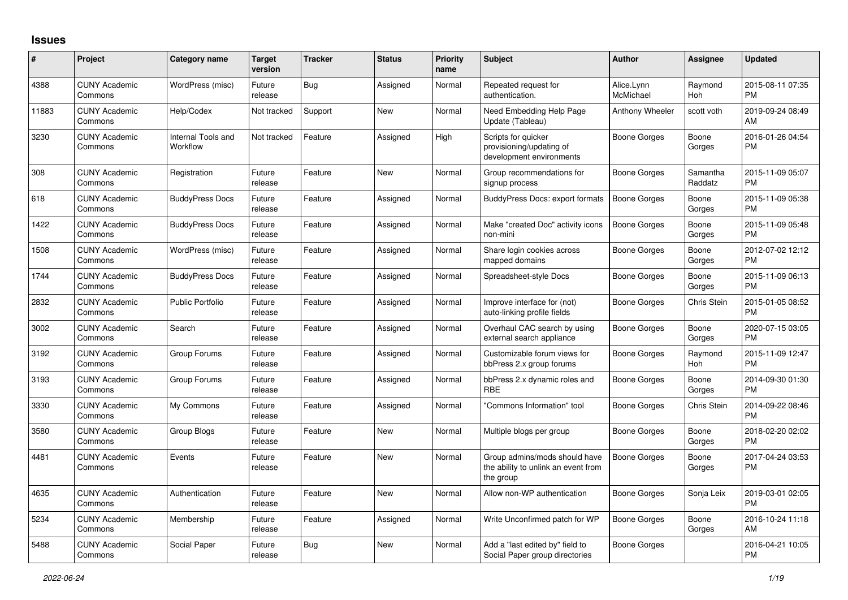## **Issues**

| #     | Project                         | <b>Category name</b>           | <b>Target</b><br>version | <b>Tracker</b> | <b>Status</b> | <b>Priority</b><br>name | <b>Subject</b>                                                                    | <b>Author</b>           | <b>Assignee</b>       | <b>Updated</b>                |
|-------|---------------------------------|--------------------------------|--------------------------|----------------|---------------|-------------------------|-----------------------------------------------------------------------------------|-------------------------|-----------------------|-------------------------------|
| 4388  | <b>CUNY Academic</b><br>Commons | WordPress (misc)               | Future<br>release        | Bug            | Assigned      | Normal                  | Repeated request for<br>authentication.                                           | Alice.Lynn<br>McMichael | Raymond<br><b>Hoh</b> | 2015-08-11 07:35<br><b>PM</b> |
| 11883 | <b>CUNY Academic</b><br>Commons | Help/Codex                     | Not tracked              | Support        | <b>New</b>    | Normal                  | Need Embedding Help Page<br>Update (Tableau)                                      | <b>Anthony Wheeler</b>  | scott voth            | 2019-09-24 08:49<br>AM        |
| 3230  | <b>CUNY Academic</b><br>Commons | Internal Tools and<br>Workflow | Not tracked              | Feature        | Assigned      | High                    | Scripts for quicker<br>provisioning/updating of<br>development environments       | Boone Gorges            | Boone<br>Gorges       | 2016-01-26 04:54<br><b>PM</b> |
| 308   | <b>CUNY Academic</b><br>Commons | Registration                   | Future<br>release        | Feature        | <b>New</b>    | Normal                  | Group recommendations for<br>signup process                                       | Boone Gorges            | Samantha<br>Raddatz   | 2015-11-09 05:07<br><b>PM</b> |
| 618   | <b>CUNY Academic</b><br>Commons | <b>BuddyPress Docs</b>         | Future<br>release        | Feature        | Assigned      | Normal                  | <b>BuddyPress Docs: export formats</b>                                            | Boone Gorges            | Boone<br>Gorges       | 2015-11-09 05:38<br><b>PM</b> |
| 1422  | <b>CUNY Academic</b><br>Commons | <b>BuddyPress Docs</b>         | Future<br>release        | Feature        | Assigned      | Normal                  | Make "created Doc" activity icons<br>non-mini                                     | <b>Boone Gorges</b>     | Boone<br>Gorges       | 2015-11-09 05:48<br><b>PM</b> |
| 1508  | <b>CUNY Academic</b><br>Commons | WordPress (misc)               | Future<br>release        | Feature        | Assigned      | Normal                  | Share login cookies across<br>mapped domains                                      | <b>Boone Gorges</b>     | Boone<br>Gorges       | 2012-07-02 12:12<br><b>PM</b> |
| 1744  | <b>CUNY Academic</b><br>Commons | <b>BuddyPress Docs</b>         | Future<br>release        | Feature        | Assigned      | Normal                  | Spreadsheet-style Docs                                                            | Boone Gorges            | Boone<br>Gorges       | 2015-11-09 06:13<br><b>PM</b> |
| 2832  | <b>CUNY Academic</b><br>Commons | <b>Public Portfolio</b>        | Future<br>release        | Feature        | Assigned      | Normal                  | Improve interface for (not)<br>auto-linking profile fields                        | Boone Gorges            | Chris Stein           | 2015-01-05 08:52<br><b>PM</b> |
| 3002  | <b>CUNY Academic</b><br>Commons | Search                         | Future<br>release        | Feature        | Assigned      | Normal                  | Overhaul CAC search by using<br>external search appliance                         | Boone Gorges            | Boone<br>Gorges       | 2020-07-15 03:05<br><b>PM</b> |
| 3192  | <b>CUNY Academic</b><br>Commons | Group Forums                   | Future<br>release        | Feature        | Assigned      | Normal                  | Customizable forum views for<br>bbPress 2.x group forums                          | Boone Gorges            | Raymond<br>Hoh        | 2015-11-09 12:47<br>PM        |
| 3193  | <b>CUNY Academic</b><br>Commons | Group Forums                   | Future<br>release        | Feature        | Assigned      | Normal                  | bbPress 2.x dynamic roles and<br><b>RBE</b>                                       | Boone Gorges            | Boone<br>Gorges       | 2014-09-30 01:30<br><b>PM</b> |
| 3330  | <b>CUNY Academic</b><br>Commons | My Commons                     | Future<br>release        | Feature        | Assigned      | Normal                  | "Commons Information" tool                                                        | Boone Gorges            | Chris Stein           | 2014-09-22 08:46<br><b>PM</b> |
| 3580  | <b>CUNY Academic</b><br>Commons | Group Blogs                    | Future<br>release        | Feature        | <b>New</b>    | Normal                  | Multiple blogs per group                                                          | Boone Gorges            | Boone<br>Gorges       | 2018-02-20 02:02<br><b>PM</b> |
| 4481  | <b>CUNY Academic</b><br>Commons | Events                         | Future<br>release        | Feature        | <b>New</b>    | Normal                  | Group admins/mods should have<br>the ability to unlink an event from<br>the group | Boone Gorges            | Boone<br>Gorges       | 2017-04-24 03:53<br><b>PM</b> |
| 4635  | <b>CUNY Academic</b><br>Commons | Authentication                 | Future<br>release        | Feature        | <b>New</b>    | Normal                  | Allow non-WP authentication                                                       | <b>Boone Gorges</b>     | Sonja Leix            | 2019-03-01 02:05<br><b>PM</b> |
| 5234  | <b>CUNY Academic</b><br>Commons | Membership                     | Future<br>release        | Feature        | Assigned      | Normal                  | Write Unconfirmed patch for WP                                                    | Boone Gorges            | Boone<br>Gorges       | 2016-10-24 11:18<br>AM        |
| 5488  | <b>CUNY Academic</b><br>Commons | Social Paper                   | Future<br>release        | <b>Bug</b>     | <b>New</b>    | Normal                  | Add a "last edited by" field to<br>Social Paper group directories                 | Boone Gorges            |                       | 2016-04-21 10:05<br><b>PM</b> |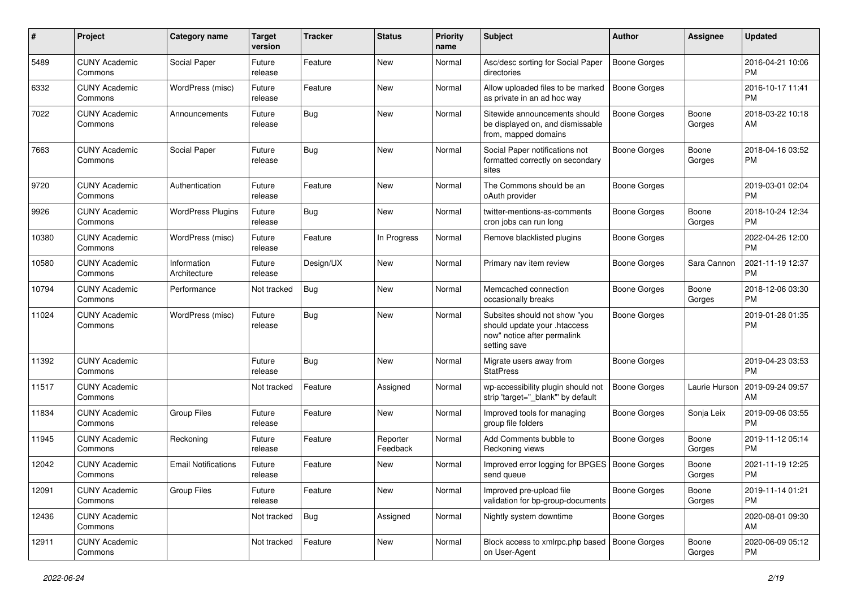| #     | Project                         | <b>Category name</b>        | <b>Target</b><br>version | <b>Tracker</b> | <b>Status</b>        | <b>Priority</b><br>name | <b>Subject</b>                                                                                               | Author              | <b>Assignee</b> | <b>Updated</b>                |
|-------|---------------------------------|-----------------------------|--------------------------|----------------|----------------------|-------------------------|--------------------------------------------------------------------------------------------------------------|---------------------|-----------------|-------------------------------|
| 5489  | <b>CUNY Academic</b><br>Commons | Social Paper                | Future<br>release        | Feature        | <b>New</b>           | Normal                  | Asc/desc sorting for Social Paper<br>directories                                                             | <b>Boone Gorges</b> |                 | 2016-04-21 10:06<br><b>PM</b> |
| 6332  | <b>CUNY Academic</b><br>Commons | WordPress (misc)            | Future<br>release        | Feature        | <b>New</b>           | Normal                  | Allow uploaded files to be marked<br>as private in an ad hoc way                                             | <b>Boone Gorges</b> |                 | 2016-10-17 11:41<br><b>PM</b> |
| 7022  | <b>CUNY Academic</b><br>Commons | Announcements               | Future<br>release        | Bug            | New                  | Normal                  | Sitewide announcements should<br>be displayed on, and dismissable<br>from, mapped domains                    | <b>Boone Gorges</b> | Boone<br>Gorges | 2018-03-22 10:18<br>AM        |
| 7663  | <b>CUNY Academic</b><br>Commons | Social Paper                | Future<br>release        | Bug            | <b>New</b>           | Normal                  | Social Paper notifications not<br>formatted correctly on secondary<br>sites                                  | <b>Boone Gorges</b> | Boone<br>Gorges | 2018-04-16 03:52<br><b>PM</b> |
| 9720  | <b>CUNY Academic</b><br>Commons | Authentication              | Future<br>release        | Feature        | <b>New</b>           | Normal                  | The Commons should be an<br>oAuth provider                                                                   | <b>Boone Gorges</b> |                 | 2019-03-01 02:04<br><b>PM</b> |
| 9926  | <b>CUNY Academic</b><br>Commons | <b>WordPress Plugins</b>    | Future<br>release        | Bug            | <b>New</b>           | Normal                  | twitter-mentions-as-comments<br>cron jobs can run long                                                       | <b>Boone Gorges</b> | Boone<br>Gorges | 2018-10-24 12:34<br><b>PM</b> |
| 10380 | <b>CUNY Academic</b><br>Commons | WordPress (misc)            | Future<br>release        | Feature        | In Progress          | Normal                  | Remove blacklisted plugins                                                                                   | <b>Boone Gorges</b> |                 | 2022-04-26 12:00<br><b>PM</b> |
| 10580 | <b>CUNY Academic</b><br>Commons | Information<br>Architecture | Future<br>release        | Design/UX      | New                  | Normal                  | Primary nav item review                                                                                      | <b>Boone Gorges</b> | Sara Cannon     | 2021-11-19 12:37<br><b>PM</b> |
| 10794 | <b>CUNY Academic</b><br>Commons | Performance                 | Not tracked              | <b>Bug</b>     | <b>New</b>           | Normal                  | Memcached connection<br>occasionally breaks                                                                  | <b>Boone Gorges</b> | Boone<br>Gorges | 2018-12-06 03:30<br><b>PM</b> |
| 11024 | <b>CUNY Academic</b><br>Commons | WordPress (misc)            | Future<br>release        | Bug            | New                  | Normal                  | Subsites should not show "you<br>should update your .htaccess<br>now" notice after permalink<br>setting save | <b>Boone Gorges</b> |                 | 2019-01-28 01:35<br><b>PM</b> |
| 11392 | <b>CUNY Academic</b><br>Commons |                             | Future<br>release        | Bug            | <b>New</b>           | Normal                  | Migrate users away from<br><b>StatPress</b>                                                                  | <b>Boone Gorges</b> |                 | 2019-04-23 03:53<br><b>PM</b> |
| 11517 | <b>CUNY Academic</b><br>Commons |                             | Not tracked              | Feature        | Assigned             | Normal                  | wp-accessibility plugin should not<br>strip 'target="_blank" by default                                      | <b>Boone Gorges</b> | Laurie Hurson   | 2019-09-24 09:57<br>AM        |
| 11834 | <b>CUNY Academic</b><br>Commons | <b>Group Files</b>          | Future<br>release        | Feature        | New                  | Normal                  | Improved tools for managing<br>group file folders                                                            | <b>Boone Gorges</b> | Sonja Leix      | 2019-09-06 03:55<br><b>PM</b> |
| 11945 | <b>CUNY Academic</b><br>Commons | Reckoning                   | Future<br>release        | Feature        | Reporter<br>Feedback | Normal                  | Add Comments bubble to<br>Reckoning views                                                                    | <b>Boone Gorges</b> | Boone<br>Gorges | 2019-11-12 05:14<br><b>PM</b> |
| 12042 | <b>CUNY Academic</b><br>Commons | <b>Email Notifications</b>  | Future<br>release        | Feature        | <b>New</b>           | Normal                  | Improved error logging for BPGES<br>send queue                                                               | <b>Boone Gorges</b> | Boone<br>Gorges | 2021-11-19 12:25<br>PM        |
| 12091 | <b>CUNY Academic</b><br>Commons | Group Files                 | Future<br>release        | Feature        | New                  | Normal                  | Improved pre-upload file<br>validation for bp-group-documents                                                | <b>Boone Gorges</b> | Boone<br>Gorges | 2019-11-14 01:21<br><b>PM</b> |
| 12436 | <b>CUNY Academic</b><br>Commons |                             | Not tracked              | <b>Bug</b>     | Assigned             | Normal                  | Nightly system downtime                                                                                      | <b>Boone Gorges</b> |                 | 2020-08-01 09:30<br>AM        |
| 12911 | <b>CUNY Academic</b><br>Commons |                             | Not tracked              | Feature        | New                  | Normal                  | Block access to xmlrpc.php based<br>on User-Agent                                                            | Boone Gorges        | Boone<br>Gorges | 2020-06-09 05:12<br>PM        |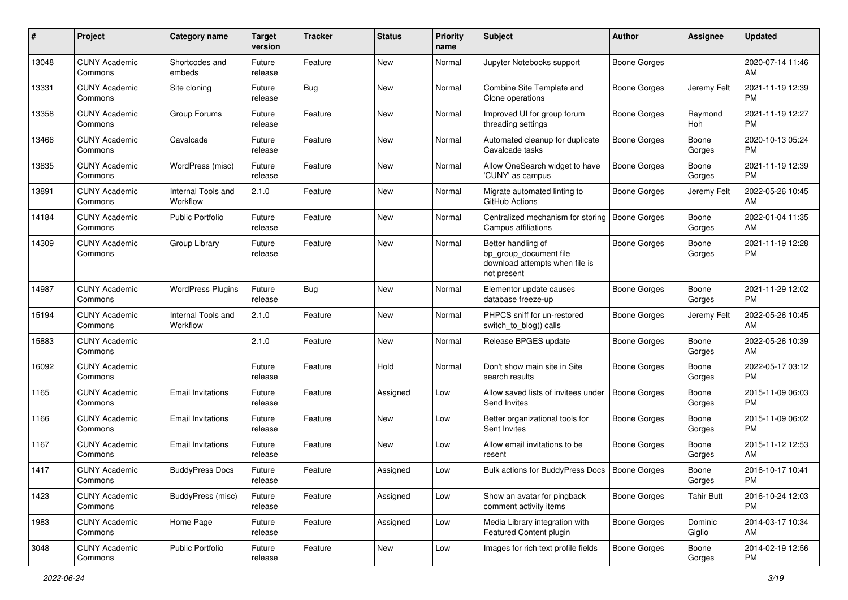| #     | Project                         | <b>Category name</b>           | <b>Target</b><br>version | <b>Tracker</b> | <b>Status</b> | <b>Priority</b><br>name | Subject                                                                                       | Author              | Assignee          | <b>Updated</b>                |
|-------|---------------------------------|--------------------------------|--------------------------|----------------|---------------|-------------------------|-----------------------------------------------------------------------------------------------|---------------------|-------------------|-------------------------------|
| 13048 | <b>CUNY Academic</b><br>Commons | Shortcodes and<br>embeds       | Future<br>release        | Feature        | New           | Normal                  | Jupyter Notebooks support                                                                     | <b>Boone Gorges</b> |                   | 2020-07-14 11:46<br>AM        |
| 13331 | <b>CUNY Academic</b><br>Commons | Site cloning                   | Future<br>release        | Bug            | New           | Normal                  | Combine Site Template and<br>Clone operations                                                 | <b>Boone Gorges</b> | Jeremy Felt       | 2021-11-19 12:39<br><b>PM</b> |
| 13358 | <b>CUNY Academic</b><br>Commons | Group Forums                   | Future<br>release        | Feature        | New           | Normal                  | Improved UI for group forum<br>threading settings                                             | <b>Boone Gorges</b> | Raymond<br>Hoh    | 2021-11-19 12:27<br><b>PM</b> |
| 13466 | <b>CUNY Academic</b><br>Commons | Cavalcade                      | Future<br>release        | Feature        | New           | Normal                  | Automated cleanup for duplicate<br>Cavalcade tasks                                            | Boone Gorges        | Boone<br>Gorges   | 2020-10-13 05:24<br><b>PM</b> |
| 13835 | <b>CUNY Academic</b><br>Commons | WordPress (misc)               | Future<br>release        | Feature        | <b>New</b>    | Normal                  | Allow OneSearch widget to have<br>'CUNY' as campus                                            | <b>Boone Gorges</b> | Boone<br>Gorges   | 2021-11-19 12:39<br><b>PM</b> |
| 13891 | <b>CUNY Academic</b><br>Commons | Internal Tools and<br>Workflow | 2.1.0                    | Feature        | <b>New</b>    | Normal                  | Migrate automated linting to<br>GitHub Actions                                                | <b>Boone Gorges</b> | Jeremy Felt       | 2022-05-26 10:45<br>AM        |
| 14184 | <b>CUNY Academic</b><br>Commons | <b>Public Portfolio</b>        | Future<br>release        | Feature        | New           | Normal                  | Centralized mechanism for storing<br>Campus affiliations                                      | Boone Gorges        | Boone<br>Gorges   | 2022-01-04 11:35<br>AM        |
| 14309 | <b>CUNY Academic</b><br>Commons | Group Library                  | Future<br>release        | Feature        | New           | Normal                  | Better handling of<br>bp_group_document file<br>download attempts when file is<br>not present | <b>Boone Gorges</b> | Boone<br>Gorges   | 2021-11-19 12:28<br><b>PM</b> |
| 14987 | <b>CUNY Academic</b><br>Commons | <b>WordPress Plugins</b>       | Future<br>release        | Bug            | New           | Normal                  | Elementor update causes<br>database freeze-up                                                 | <b>Boone Gorges</b> | Boone<br>Gorges   | 2021-11-29 12:02<br><b>PM</b> |
| 15194 | <b>CUNY Academic</b><br>Commons | Internal Tools and<br>Workflow | 2.1.0                    | Feature        | <b>New</b>    | Normal                  | PHPCS sniff for un-restored<br>switch_to_blog() calls                                         | <b>Boone Gorges</b> | Jeremy Felt       | 2022-05-26 10:45<br>AM        |
| 15883 | <b>CUNY Academic</b><br>Commons |                                | 2.1.0                    | Feature        | New           | Normal                  | Release BPGES update                                                                          | <b>Boone Gorges</b> | Boone<br>Gorges   | 2022-05-26 10:39<br>AM        |
| 16092 | <b>CUNY Academic</b><br>Commons |                                | Future<br>release        | Feature        | Hold          | Normal                  | Don't show main site in Site<br>search results                                                | Boone Gorges        | Boone<br>Gorges   | 2022-05-17 03:12<br><b>PM</b> |
| 1165  | <b>CUNY Academic</b><br>Commons | <b>Email Invitations</b>       | Future<br>release        | Feature        | Assigned      | Low                     | Allow saved lists of invitees under<br>Send Invites                                           | Boone Gorges        | Boone<br>Gorges   | 2015-11-09 06:03<br><b>PM</b> |
| 1166  | <b>CUNY Academic</b><br>Commons | <b>Email Invitations</b>       | Future<br>release        | Feature        | New           | Low                     | Better organizational tools for<br>Sent Invites                                               | <b>Boone Gorges</b> | Boone<br>Gorges   | 2015-11-09 06:02<br><b>PM</b> |
| 1167  | <b>CUNY Academic</b><br>Commons | <b>Email Invitations</b>       | Future<br>release        | Feature        | New           | Low                     | Allow email invitations to be<br>resent                                                       | <b>Boone Gorges</b> | Boone<br>Gorges   | 2015-11-12 12:53<br>AM        |
| 1417  | <b>CUNY Academic</b><br>Commons | <b>BuddyPress Docs</b>         | Future<br>release        | Feature        | Assigned      | Low                     | Bulk actions for BuddyPress Docs                                                              | Boone Gorges        | Boone<br>Gorges   | 2016-10-17 10:41<br>PM        |
| 1423  | <b>CUNY Academic</b><br>Commons | BuddyPress (misc)              | Future<br>release        | Feature        | Assigned      | Low                     | Show an avatar for pingback<br>comment activity items                                         | Boone Gorges        | <b>Tahir Butt</b> | 2016-10-24 12:03<br><b>PM</b> |
| 1983  | <b>CUNY Academic</b><br>Commons | Home Page                      | Future<br>release        | Feature        | Assigned      | Low                     | Media Library integration with<br>Featured Content plugin                                     | Boone Gorges        | Dominic<br>Giglio | 2014-03-17 10:34<br>AM        |
| 3048  | <b>CUNY Academic</b><br>Commons | Public Portfolio               | Future<br>release        | Feature        | New           | Low                     | Images for rich text profile fields                                                           | Boone Gorges        | Boone<br>Gorges   | 2014-02-19 12:56<br>PM        |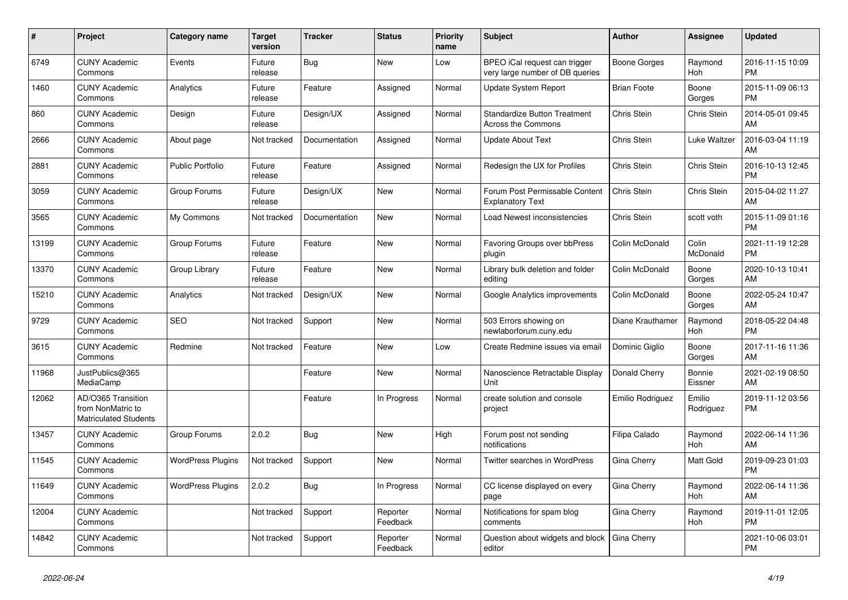| #     | Project                                                                 | <b>Category name</b>     | <b>Target</b><br>version | <b>Tracker</b> | <b>Status</b>        | <b>Priority</b><br>name | <b>Subject</b>                                                   | <b>Author</b>      | Assignee              | <b>Updated</b>                |
|-------|-------------------------------------------------------------------------|--------------------------|--------------------------|----------------|----------------------|-------------------------|------------------------------------------------------------------|--------------------|-----------------------|-------------------------------|
| 6749  | <b>CUNY Academic</b><br>Commons                                         | Events                   | Future<br>release        | Bug            | <b>New</b>           | Low                     | BPEO iCal request can trigger<br>very large number of DB queries | Boone Gorges       | Raymond<br>Hoh        | 2016-11-15 10:09<br><b>PM</b> |
| 1460  | <b>CUNY Academic</b><br>Commons                                         | Analytics                | Future<br>release        | Feature        | Assigned             | Normal                  | <b>Update System Report</b>                                      | <b>Brian Foote</b> | Boone<br>Gorges       | 2015-11-09 06:13<br><b>PM</b> |
| 860   | <b>CUNY Academic</b><br>Commons                                         | Design                   | Future<br>release        | Design/UX      | Assigned             | Normal                  | <b>Standardize Button Treatment</b><br>Across the Commons        | Chris Stein        | Chris Stein           | 2014-05-01 09:45<br>AM        |
| 2666  | <b>CUNY Academic</b><br>Commons                                         | About page               | Not tracked              | Documentation  | Assigned             | Normal                  | <b>Update About Text</b>                                         | Chris Stein        | Luke Waltzer          | 2016-03-04 11:19<br>AM        |
| 2881  | <b>CUNY Academic</b><br>Commons                                         | <b>Public Portfolio</b>  | Future<br>release        | Feature        | Assigned             | Normal                  | Redesign the UX for Profiles                                     | <b>Chris Stein</b> | Chris Stein           | 2016-10-13 12:45<br><b>PM</b> |
| 3059  | <b>CUNY Academic</b><br>Commons                                         | Group Forums             | Future<br>release        | Design/UX      | New                  | Normal                  | Forum Post Permissable Content<br><b>Explanatory Text</b>        | Chris Stein        | Chris Stein           | 2015-04-02 11:27<br>AM        |
| 3565  | <b>CUNY Academic</b><br>Commons                                         | My Commons               | Not tracked              | Documentation  | <b>New</b>           | Normal                  | Load Newest inconsistencies                                      | Chris Stein        | scott voth            | 2015-11-09 01:16<br><b>PM</b> |
| 13199 | <b>CUNY Academic</b><br>Commons                                         | Group Forums             | Future<br>release        | Feature        | <b>New</b>           | Normal                  | <b>Favoring Groups over bbPress</b><br>plugin                    | Colin McDonald     | Colin<br>McDonald     | 2021-11-19 12:28<br><b>PM</b> |
| 13370 | <b>CUNY Academic</b><br>Commons                                         | Group Library            | Future<br>release        | Feature        | <b>New</b>           | Normal                  | Library bulk deletion and folder<br>editing                      | Colin McDonald     | Boone<br>Gorges       | 2020-10-13 10:41<br>AM        |
| 15210 | <b>CUNY Academic</b><br>Commons                                         | Analytics                | Not tracked              | Design/UX      | <b>New</b>           | Normal                  | Google Analytics improvements                                    | Colin McDonald     | Boone<br>Gorges       | 2022-05-24 10:47<br>AM        |
| 9729  | <b>CUNY Academic</b><br>Commons                                         | <b>SEO</b>               | Not tracked              | Support        | <b>New</b>           | Normal                  | 503 Errors showing on<br>newlaborforum.cuny.edu                  | Diane Krauthamer   | Raymond<br>Hoh        | 2018-05-22 04:48<br><b>PM</b> |
| 3615  | <b>CUNY Academic</b><br>Commons                                         | Redmine                  | Not tracked              | Feature        | New                  | Low                     | Create Redmine issues via email                                  | Dominic Giglio     | Boone<br>Gorges       | 2017-11-16 11:36<br>AM        |
| 11968 | JustPublics@365<br>MediaCamp                                            |                          |                          | Feature        | <b>New</b>           | Normal                  | Nanoscience Retractable Display<br>Unit                          | Donald Cherry      | Bonnie<br>Eissner     | 2021-02-19 08:50<br>AM        |
| 12062 | AD/O365 Transition<br>from NonMatric to<br><b>Matriculated Students</b> |                          |                          | Feature        | In Progress          | Normal                  | create solution and console<br>project                           | Emilio Rodriguez   | Emilio<br>Rodriguez   | 2019-11-12 03:56<br><b>PM</b> |
| 13457 | <b>CUNY Academic</b><br>Commons                                         | Group Forums             | 2.0.2                    | Bug            | <b>New</b>           | High                    | Forum post not sending<br>notifications                          | Filipa Calado      | Raymond<br>Hoh        | 2022-06-14 11:36<br>AM        |
| 11545 | <b>CUNY Academic</b><br>Commons                                         | <b>WordPress Plugins</b> | Not tracked              | Support        | <b>New</b>           | Normal                  | Twitter searches in WordPress                                    | Gina Cherry        | Matt Gold             | 2019-09-23 01:03<br><b>PM</b> |
| 11649 | <b>CUNY Academic</b><br>Commons                                         | <b>WordPress Plugins</b> | 2.0.2                    | <b>Bug</b>     | In Progress          | Normal                  | CC license displayed on every<br>page                            | Gina Cherry        | Raymond<br>Hoh        | 2022-06-14 11:36<br>AM        |
| 12004 | <b>CUNY Academic</b><br>Commons                                         |                          | Not tracked              | Support        | Reporter<br>Feedback | Normal                  | Notifications for spam blog<br>comments                          | Gina Cherry        | Raymond<br><b>Hoh</b> | 2019-11-01 12:05<br><b>PM</b> |
| 14842 | <b>CUNY Academic</b><br>Commons                                         |                          | Not tracked              | Support        | Reporter<br>Feedback | Normal                  | Question about widgets and block<br>editor                       | Gina Cherry        |                       | 2021-10-06 03:01<br><b>PM</b> |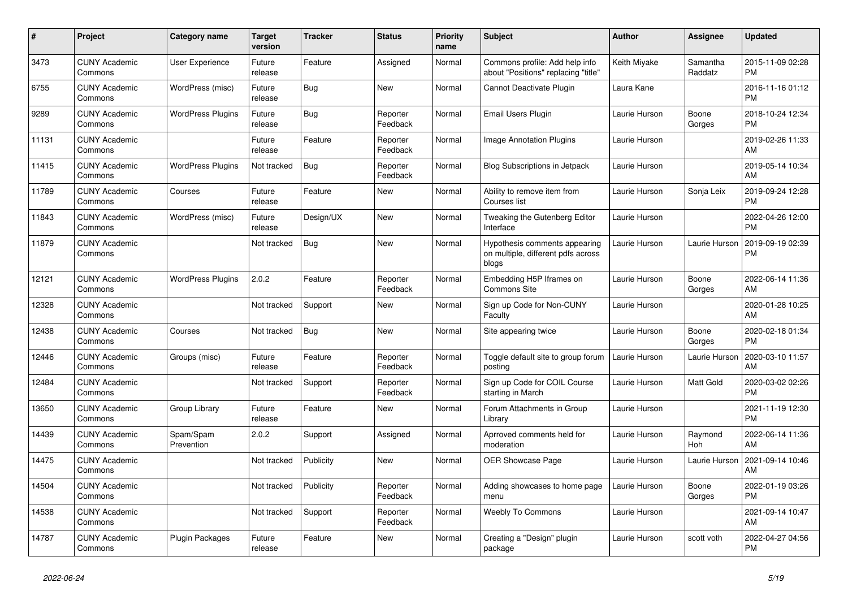| #     | Project                         | <b>Category name</b>     | <b>Target</b><br>version | <b>Tracker</b> | <b>Status</b>        | <b>Priority</b><br>name | <b>Subject</b>                                                               | <b>Author</b> | Assignee            | <b>Updated</b>                |
|-------|---------------------------------|--------------------------|--------------------------|----------------|----------------------|-------------------------|------------------------------------------------------------------------------|---------------|---------------------|-------------------------------|
| 3473  | <b>CUNY Academic</b><br>Commons | <b>User Experience</b>   | Future<br>release        | Feature        | Assigned             | Normal                  | Commons profile: Add help info<br>about "Positions" replacing "title"        | Keith Miyake  | Samantha<br>Raddatz | 2015-11-09 02:28<br><b>PM</b> |
| 6755  | <b>CUNY Academic</b><br>Commons | WordPress (misc)         | Future<br>release        | <b>Bug</b>     | <b>New</b>           | Normal                  | Cannot Deactivate Plugin                                                     | Laura Kane    |                     | 2016-11-16 01:12<br><b>PM</b> |
| 9289  | <b>CUNY Academic</b><br>Commons | <b>WordPress Plugins</b> | Future<br>release        | Bug            | Reporter<br>Feedback | Normal                  | Email Users Plugin                                                           | Laurie Hurson | Boone<br>Gorges     | 2018-10-24 12:34<br><b>PM</b> |
| 11131 | <b>CUNY Academic</b><br>Commons |                          | Future<br>release        | Feature        | Reporter<br>Feedback | Normal                  | <b>Image Annotation Plugins</b>                                              | Laurie Hurson |                     | 2019-02-26 11:33<br>AM        |
| 11415 | <b>CUNY Academic</b><br>Commons | <b>WordPress Plugins</b> | Not tracked              | Bug            | Reporter<br>Feedback | Normal                  | <b>Blog Subscriptions in Jetpack</b>                                         | Laurie Hurson |                     | 2019-05-14 10:34<br>AM        |
| 11789 | <b>CUNY Academic</b><br>Commons | Courses                  | Future<br>release        | Feature        | New                  | Normal                  | Ability to remove item from<br>Courses list                                  | Laurie Hurson | Sonja Leix          | 2019-09-24 12:28<br><b>PM</b> |
| 11843 | <b>CUNY Academic</b><br>Commons | WordPress (misc)         | Future<br>release        | Design/UX      | New                  | Normal                  | Tweaking the Gutenberg Editor<br>Interface                                   | Laurie Hurson |                     | 2022-04-26 12:00<br><b>PM</b> |
| 11879 | <b>CUNY Academic</b><br>Commons |                          | Not tracked              | Bug            | <b>New</b>           | Normal                  | Hypothesis comments appearing<br>on multiple, different pdfs across<br>blogs | Laurie Hurson | Laurie Hurson       | 2019-09-19 02:39<br><b>PM</b> |
| 12121 | <b>CUNY Academic</b><br>Commons | <b>WordPress Plugins</b> | 2.0.2                    | Feature        | Reporter<br>Feedback | Normal                  | Embedding H5P Iframes on<br>Commons Site                                     | Laurie Hurson | Boone<br>Gorges     | 2022-06-14 11:36<br>AM        |
| 12328 | <b>CUNY Academic</b><br>Commons |                          | Not tracked              | Support        | <b>New</b>           | Normal                  | Sign up Code for Non-CUNY<br>Faculty                                         | Laurie Hurson |                     | 2020-01-28 10:25<br>AM        |
| 12438 | <b>CUNY Academic</b><br>Commons | Courses                  | Not tracked              | Bug            | <b>New</b>           | Normal                  | Site appearing twice                                                         | Laurie Hurson | Boone<br>Gorges     | 2020-02-18 01:34<br><b>PM</b> |
| 12446 | <b>CUNY Academic</b><br>Commons | Groups (misc)            | Future<br>release        | Feature        | Reporter<br>Feedback | Normal                  | Toggle default site to group forum<br>posting                                | Laurie Hurson | Laurie Hurson       | 2020-03-10 11:57<br>AM        |
| 12484 | <b>CUNY Academic</b><br>Commons |                          | Not tracked              | Support        | Reporter<br>Feedback | Normal                  | Sign up Code for COIL Course<br>starting in March                            | Laurie Hurson | Matt Gold           | 2020-03-02 02:26<br><b>PM</b> |
| 13650 | <b>CUNY Academic</b><br>Commons | Group Library            | Future<br>release        | Feature        | <b>New</b>           | Normal                  | Forum Attachments in Group<br>Library                                        | Laurie Hurson |                     | 2021-11-19 12:30<br><b>PM</b> |
| 14439 | <b>CUNY Academic</b><br>Commons | Spam/Spam<br>Prevention  | 2.0.2                    | Support        | Assigned             | Normal                  | Aprroved comments held for<br>moderation                                     | Laurie Hurson | Raymond<br>Hoh      | 2022-06-14 11:36<br>AM        |
| 14475 | <b>CUNY Academic</b><br>Commons |                          | Not tracked              | Publicity      | <b>New</b>           | Normal                  | OER Showcase Page                                                            | Laurie Hurson | Laurie Hurson       | 2021-09-14 10:46<br>AM        |
| 14504 | <b>CUNY Academic</b><br>Commons |                          | Not tracked              | Publicity      | Reporter<br>Feedback | Normal                  | Adding showcases to home page<br>menu                                        | Laurie Hurson | Boone<br>Gorges     | 2022-01-19 03:26<br><b>PM</b> |
| 14538 | <b>CUNY Academic</b><br>Commons |                          | Not tracked              | Support        | Reporter<br>Feedback | Normal                  | <b>Weebly To Commons</b>                                                     | Laurie Hurson |                     | 2021-09-14 10:47<br>AM        |
| 14787 | <b>CUNY Academic</b><br>Commons | <b>Plugin Packages</b>   | Future<br>release        | Feature        | <b>New</b>           | Normal                  | Creating a "Design" plugin<br>package                                        | Laurie Hurson | scott voth          | 2022-04-27 04:56<br><b>PM</b> |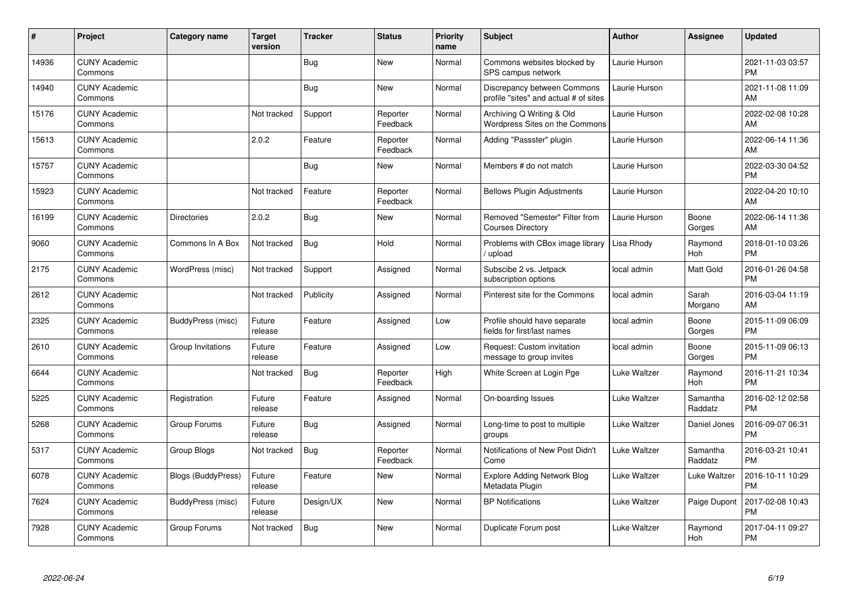| #     | Project                         | <b>Category name</b>      | <b>Target</b><br>version | <b>Tracker</b> | <b>Status</b>        | <b>Priority</b><br>name | <b>Subject</b>                                                       | <b>Author</b> | <b>Assignee</b>     | <b>Updated</b>                |
|-------|---------------------------------|---------------------------|--------------------------|----------------|----------------------|-------------------------|----------------------------------------------------------------------|---------------|---------------------|-------------------------------|
| 14936 | <b>CUNY Academic</b><br>Commons |                           |                          | Bug            | <b>New</b>           | Normal                  | Commons websites blocked by<br>SPS campus network                    | Laurie Hurson |                     | 2021-11-03 03:57<br><b>PM</b> |
| 14940 | <b>CUNY Academic</b><br>Commons |                           |                          | Bug            | <b>New</b>           | Normal                  | Discrepancy between Commons<br>profile "sites" and actual # of sites | Laurie Hurson |                     | 2021-11-08 11:09<br>AM        |
| 15176 | <b>CUNY Academic</b><br>Commons |                           | Not tracked              | Support        | Reporter<br>Feedback | Normal                  | Archiving Q Writing & Old<br>Wordpress Sites on the Commons          | Laurie Hurson |                     | 2022-02-08 10:28<br>AM        |
| 15613 | <b>CUNY Academic</b><br>Commons |                           | 2.0.2                    | Feature        | Reporter<br>Feedback | Normal                  | Adding "Passster" plugin                                             | Laurie Hurson |                     | 2022-06-14 11:36<br>AM        |
| 15757 | <b>CUNY Academic</b><br>Commons |                           |                          | <b>Bug</b>     | <b>New</b>           | Normal                  | Members # do not match                                               | Laurie Hurson |                     | 2022-03-30 04:52<br><b>PM</b> |
| 15923 | <b>CUNY Academic</b><br>Commons |                           | Not tracked              | Feature        | Reporter<br>Feedback | Normal                  | <b>Bellows Plugin Adjustments</b>                                    | Laurie Hurson |                     | 2022-04-20 10:10<br>AM        |
| 16199 | <b>CUNY Academic</b><br>Commons | <b>Directories</b>        | 2.0.2                    | Bug            | <b>New</b>           | Normal                  | Removed "Semester" Filter from<br><b>Courses Directory</b>           | Laurie Hurson | Boone<br>Gorges     | 2022-06-14 11:36<br>AM        |
| 9060  | <b>CUNY Academic</b><br>Commons | Commons In A Box          | Not tracked              | <b>Bug</b>     | Hold                 | Normal                  | Problems with CBox image library<br>upload                           | Lisa Rhody    | Raymond<br>Hoh      | 2018-01-10 03:26<br><b>PM</b> |
| 2175  | <b>CUNY Academic</b><br>Commons | WordPress (misc)          | Not tracked              | Support        | Assigned             | Normal                  | Subscibe 2 vs. Jetpack<br>subscription options                       | local admin   | Matt Gold           | 2016-01-26 04:58<br><b>PM</b> |
| 2612  | <b>CUNY Academic</b><br>Commons |                           | Not tracked              | Publicity      | Assigned             | Normal                  | Pinterest site for the Commons                                       | local admin   | Sarah<br>Morgano    | 2016-03-04 11:19<br>AM        |
| 2325  | <b>CUNY Academic</b><br>Commons | BuddyPress (misc)         | Future<br>release        | Feature        | Assigned             | Low                     | Profile should have separate<br>fields for first/last names          | local admin   | Boone<br>Gorges     | 2015-11-09 06:09<br><b>PM</b> |
| 2610  | <b>CUNY Academic</b><br>Commons | Group Invitations         | Future<br>release        | Feature        | Assigned             | Low                     | Request: Custom invitation<br>message to group invites               | local admin   | Boone<br>Gorges     | 2015-11-09 06:13<br><b>PM</b> |
| 6644  | <b>CUNY Academic</b><br>Commons |                           | Not tracked              | <b>Bug</b>     | Reporter<br>Feedback | High                    | White Screen at Login Pge                                            | Luke Waltzer  | Raymond<br>Hoh      | 2016-11-21 10:34<br><b>PM</b> |
| 5225  | <b>CUNY Academic</b><br>Commons | Registration              | Future<br>release        | Feature        | Assigned             | Normal                  | On-boarding Issues                                                   | Luke Waltzer  | Samantha<br>Raddatz | 2016-02-12 02:58<br><b>PM</b> |
| 5268  | <b>CUNY Academic</b><br>Commons | Group Forums              | Future<br>release        | <b>Bug</b>     | Assigned             | Normal                  | Long-time to post to multiple<br>groups                              | Luke Waltzer  | Daniel Jones        | 2016-09-07 06:31<br><b>PM</b> |
| 5317  | <b>CUNY Academic</b><br>Commons | <b>Group Blogs</b>        | Not tracked              | <b>Bug</b>     | Reporter<br>Feedback | Normal                  | Notifications of New Post Didn't<br>Come                             | Luke Waltzer  | Samantha<br>Raddatz | 2016-03-21 10:41<br><b>PM</b> |
| 6078  | <b>CUNY Academic</b><br>Commons | <b>Blogs (BuddyPress)</b> | Future<br>release        | Feature        | New                  | Normal                  | <b>Explore Adding Network Blog</b><br>Metadata Plugin                | Luke Waltzer  | Luke Waltzer        | 2016-10-11 10:29<br><b>PM</b> |
| 7624  | <b>CUNY Academic</b><br>Commons | BuddyPress (misc)         | Future<br>release        | Design/UX      | <b>New</b>           | Normal                  | <b>BP</b> Notifications                                              | Luke Waltzer  | Paige Dupont        | 2017-02-08 10:43<br><b>PM</b> |
| 7928  | <b>CUNY Academic</b><br>Commons | Group Forums              | Not tracked              | <b>Bug</b>     | <b>New</b>           | Normal                  | Duplicate Forum post                                                 | Luke Waltzer  | Raymond<br>Hoh      | 2017-04-11 09:27<br>PM        |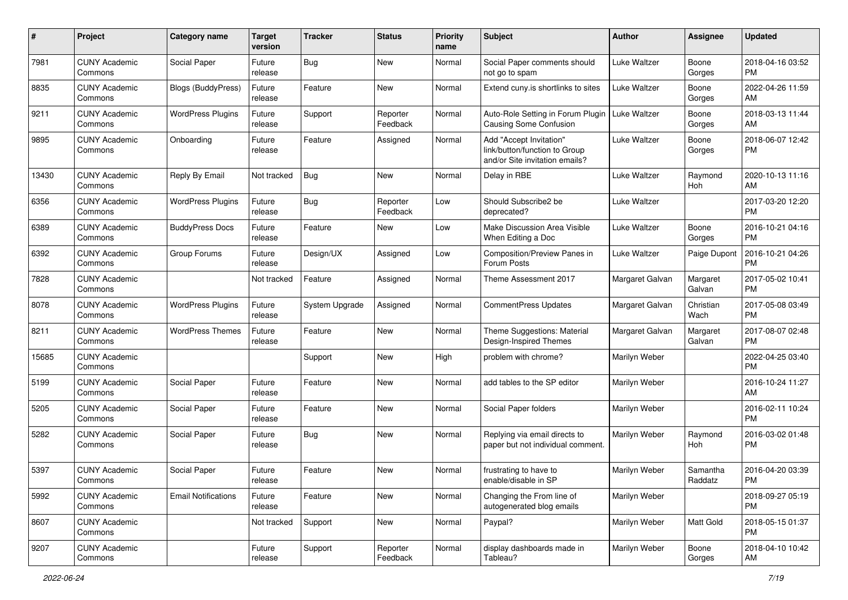| #     | Project                         | <b>Category name</b>       | <b>Target</b><br>version | <b>Tracker</b> | <b>Status</b>        | <b>Priority</b><br>name | Subject                                                                                    | <b>Author</b>   | <b>Assignee</b>     | <b>Updated</b>                |
|-------|---------------------------------|----------------------------|--------------------------|----------------|----------------------|-------------------------|--------------------------------------------------------------------------------------------|-----------------|---------------------|-------------------------------|
| 7981  | <b>CUNY Academic</b><br>Commons | Social Paper               | Future<br>release        | Bug            | New                  | Normal                  | Social Paper comments should<br>not go to spam                                             | Luke Waltzer    | Boone<br>Gorges     | 2018-04-16 03:52<br>PM        |
| 8835  | <b>CUNY Academic</b><br>Commons | <b>Blogs (BuddyPress)</b>  | Future<br>release        | Feature        | New                  | Normal                  | Extend cuny.is shortlinks to sites                                                         | Luke Waltzer    | Boone<br>Gorges     | 2022-04-26 11:59<br>AM        |
| 9211  | <b>CUNY Academic</b><br>Commons | <b>WordPress Plugins</b>   | Future<br>release        | Support        | Reporter<br>Feedback | Normal                  | Auto-Role Setting in Forum Plugin<br>Causing Some Confusion                                | Luke Waltzer    | Boone<br>Gorges     | 2018-03-13 11:44<br>AM        |
| 9895  | <b>CUNY Academic</b><br>Commons | Onboarding                 | Future<br>release        | Feature        | Assigned             | Normal                  | Add "Accept Invitation"<br>link/button/function to Group<br>and/or Site invitation emails? | Luke Waltzer    | Boone<br>Gorges     | 2018-06-07 12:42<br>PM        |
| 13430 | <b>CUNY Academic</b><br>Commons | Reply By Email             | Not tracked              | Bug            | New                  | Normal                  | Delay in RBE                                                                               | Luke Waltzer    | Raymond<br>Hoh      | 2020-10-13 11:16<br>AM        |
| 6356  | <b>CUNY Academic</b><br>Commons | <b>WordPress Plugins</b>   | Future<br>release        | Bug            | Reporter<br>Feedback | Low                     | Should Subscribe2 be<br>deprecated?                                                        | Luke Waltzer    |                     | 2017-03-20 12:20<br><b>PM</b> |
| 6389  | <b>CUNY Academic</b><br>Commons | <b>BuddyPress Docs</b>     | Future<br>release        | Feature        | New                  | Low                     | Make Discussion Area Visible<br>When Editing a Doc                                         | Luke Waltzer    | Boone<br>Gorges     | 2016-10-21 04:16<br><b>PM</b> |
| 6392  | <b>CUNY Academic</b><br>Commons | Group Forums               | Future<br>release        | Design/UX      | Assigned             | Low                     | Composition/Preview Panes in<br>Forum Posts                                                | Luke Waltzer    | Paige Dupont        | 2016-10-21 04:26<br><b>PM</b> |
| 7828  | <b>CUNY Academic</b><br>Commons |                            | Not tracked              | Feature        | Assigned             | Normal                  | Theme Assessment 2017                                                                      | Margaret Galvan | Margaret<br>Galvan  | 2017-05-02 10:41<br><b>PM</b> |
| 8078  | <b>CUNY Academic</b><br>Commons | <b>WordPress Plugins</b>   | Future<br>release        | System Upgrade | Assigned             | Normal                  | CommentPress Updates                                                                       | Margaret Galvan | Christian<br>Wach   | 2017-05-08 03:49<br><b>PM</b> |
| 8211  | <b>CUNY Academic</b><br>Commons | <b>WordPress Themes</b>    | Future<br>release        | Feature        | New                  | Normal                  | Theme Suggestions: Material<br>Design-Inspired Themes                                      | Margaret Galvan | Margaret<br>Galvan  | 2017-08-07 02:48<br><b>PM</b> |
| 15685 | <b>CUNY Academic</b><br>Commons |                            |                          | Support        | New                  | High                    | problem with chrome?                                                                       | Marilyn Weber   |                     | 2022-04-25 03:40<br><b>PM</b> |
| 5199  | <b>CUNY Academic</b><br>Commons | Social Paper               | Future<br>release        | Feature        | New                  | Normal                  | add tables to the SP editor                                                                | Marilyn Weber   |                     | 2016-10-24 11:27<br>AM        |
| 5205  | <b>CUNY Academic</b><br>Commons | Social Paper               | Future<br>release        | Feature        | New                  | Normal                  | Social Paper folders                                                                       | Marilyn Weber   |                     | 2016-02-11 10:24<br><b>PM</b> |
| 5282  | <b>CUNY Academic</b><br>Commons | Social Paper               | Future<br>release        | Bug            | New                  | Normal                  | Replying via email directs to<br>paper but not individual comment.                         | Marilyn Weber   | Raymond<br>Hoh      | 2016-03-02 01:48<br><b>PM</b> |
| 5397  | <b>CUNY Academic</b><br>Commons | Social Paper               | Future<br>release        | Feature        | New                  | Normal                  | frustrating to have to<br>enable/disable in SP                                             | Marilyn Weber   | Samantha<br>Raddatz | 2016-04-20 03:39<br>PM        |
| 5992  | <b>CUNY Academic</b><br>Commons | <b>Email Notifications</b> | Future<br>release        | Feature        | New                  | Normal                  | Changing the From line of<br>autogenerated blog emails                                     | Marilyn Weber   |                     | 2018-09-27 05:19<br>PM        |
| 8607  | <b>CUNY Academic</b><br>Commons |                            | Not tracked              | Support        | New                  | Normal                  | Paypal?                                                                                    | Marilyn Weber   | Matt Gold           | 2018-05-15 01:37<br><b>PM</b> |
| 9207  | <b>CUNY Academic</b><br>Commons |                            | Future<br>release        | Support        | Reporter<br>Feedback | Normal                  | display dashboards made in<br>Tableau?                                                     | Marilyn Weber   | Boone<br>Gorges     | 2018-04-10 10:42<br>AM        |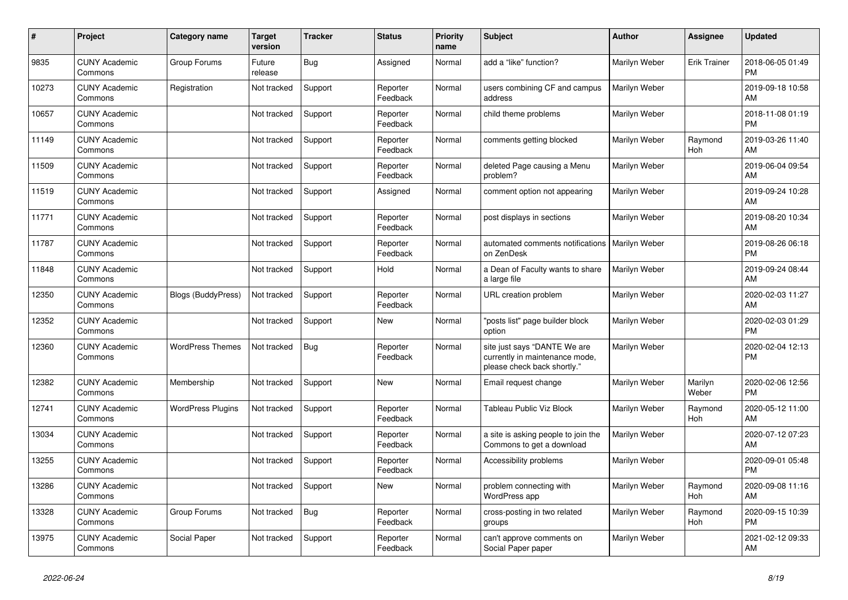| #     | Project                         | <b>Category name</b>     | <b>Target</b><br>version | <b>Tracker</b> | <b>Status</b>        | <b>Priority</b><br>name | <b>Subject</b>                                                                                | <b>Author</b> | <b>Assignee</b>     | <b>Updated</b>                |
|-------|---------------------------------|--------------------------|--------------------------|----------------|----------------------|-------------------------|-----------------------------------------------------------------------------------------------|---------------|---------------------|-------------------------------|
| 9835  | <b>CUNY Academic</b><br>Commons | Group Forums             | Future<br>release        | Bug            | Assigned             | Normal                  | add a "like" function?                                                                        | Marilyn Weber | <b>Erik Trainer</b> | 2018-06-05 01:49<br><b>PM</b> |
| 10273 | <b>CUNY Academic</b><br>Commons | Registration             | Not tracked              | Support        | Reporter<br>Feedback | Normal                  | users combining CF and campus<br>address                                                      | Marilyn Weber |                     | 2019-09-18 10:58<br>AM        |
| 10657 | <b>CUNY Academic</b><br>Commons |                          | Not tracked              | Support        | Reporter<br>Feedback | Normal                  | child theme problems                                                                          | Marilyn Weber |                     | 2018-11-08 01:19<br><b>PM</b> |
| 11149 | <b>CUNY Academic</b><br>Commons |                          | Not tracked              | Support        | Reporter<br>Feedback | Normal                  | comments getting blocked                                                                      | Marilyn Weber | Raymond<br>Hoh      | 2019-03-26 11:40<br>AM        |
| 11509 | <b>CUNY Academic</b><br>Commons |                          | Not tracked              | Support        | Reporter<br>Feedback | Normal                  | deleted Page causing a Menu<br>problem?                                                       | Marilyn Weber |                     | 2019-06-04 09:54<br>AM        |
| 11519 | <b>CUNY Academic</b><br>Commons |                          | Not tracked              | Support        | Assigned             | Normal                  | comment option not appearing                                                                  | Marilyn Weber |                     | 2019-09-24 10:28<br>AM        |
| 11771 | <b>CUNY Academic</b><br>Commons |                          | Not tracked              | Support        | Reporter<br>Feedback | Normal                  | post displays in sections                                                                     | Marilyn Weber |                     | 2019-08-20 10:34<br>AM        |
| 11787 | <b>CUNY Academic</b><br>Commons |                          | Not tracked              | Support        | Reporter<br>Feedback | Normal                  | automated comments notifications<br>on ZenDesk                                                | Marilyn Weber |                     | 2019-08-26 06:18<br><b>PM</b> |
| 11848 | <b>CUNY Academic</b><br>Commons |                          | Not tracked              | Support        | Hold                 | Normal                  | a Dean of Faculty wants to share<br>a large file                                              | Marilyn Weber |                     | 2019-09-24 08:44<br>AM        |
| 12350 | <b>CUNY Academic</b><br>Commons | Blogs (BuddyPress)       | Not tracked              | Support        | Reporter<br>Feedback | Normal                  | URL creation problem                                                                          | Marilyn Weber |                     | 2020-02-03 11:27<br>AM        |
| 12352 | <b>CUNY Academic</b><br>Commons |                          | Not tracked              | Support        | <b>New</b>           | Normal                  | "posts list" page builder block<br>option                                                     | Marilyn Weber |                     | 2020-02-03 01:29<br><b>PM</b> |
| 12360 | <b>CUNY Academic</b><br>Commons | <b>WordPress Themes</b>  | Not tracked              | <b>Bug</b>     | Reporter<br>Feedback | Normal                  | site just says "DANTE We are<br>currently in maintenance mode,<br>please check back shortly." | Marilyn Weber |                     | 2020-02-04 12:13<br><b>PM</b> |
| 12382 | <b>CUNY Academic</b><br>Commons | Membership               | Not tracked              | Support        | <b>New</b>           | Normal                  | Email request change                                                                          | Marilyn Weber | Marilyn<br>Weber    | 2020-02-06 12:56<br><b>PM</b> |
| 12741 | <b>CUNY Academic</b><br>Commons | <b>WordPress Plugins</b> | Not tracked              | Support        | Reporter<br>Feedback | Normal                  | <b>Tableau Public Viz Block</b>                                                               | Marilyn Weber | Raymond<br>Hoh      | 2020-05-12 11:00<br>AM        |
| 13034 | <b>CUNY Academic</b><br>Commons |                          | Not tracked              | Support        | Reporter<br>Feedback | Normal                  | a site is asking people to join the<br>Commons to get a download                              | Marilyn Weber |                     | 2020-07-12 07:23<br>AM        |
| 13255 | <b>CUNY Academic</b><br>Commons |                          | Not tracked              | Support        | Reporter<br>Feedback | Normal                  | Accessibility problems                                                                        | Marilyn Weber |                     | 2020-09-01 05:48<br><b>PM</b> |
| 13286 | <b>CUNY Academic</b><br>Commons |                          | Not tracked              | Support        | <b>New</b>           | Normal                  | problem connecting with<br>WordPress app                                                      | Marilyn Weber | Raymond<br>Hoh      | 2020-09-08 11:16<br>AM        |
| 13328 | <b>CUNY Academic</b><br>Commons | Group Forums             | Not tracked              | <b>Bug</b>     | Reporter<br>Feedback | Normal                  | cross-posting in two related<br>groups                                                        | Marilyn Weber | Raymond<br>Hoh      | 2020-09-15 10:39<br><b>PM</b> |
| 13975 | <b>CUNY Academic</b><br>Commons | Social Paper             | Not tracked              | Support        | Reporter<br>Feedback | Normal                  | can't approve comments on<br>Social Paper paper                                               | Marilyn Weber |                     | 2021-02-12 09:33<br>AM        |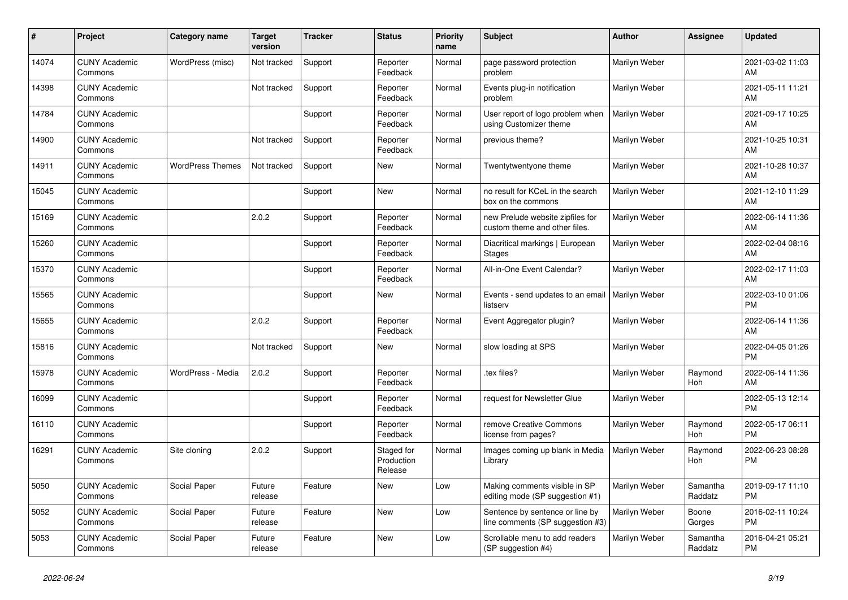| #     | Project                         | <b>Category name</b>    | <b>Target</b><br>version | <b>Tracker</b> | <b>Status</b>                       | <b>Priority</b><br>name | <b>Subject</b>                                                      | Author        | <b>Assignee</b>     | <b>Updated</b>                |
|-------|---------------------------------|-------------------------|--------------------------|----------------|-------------------------------------|-------------------------|---------------------------------------------------------------------|---------------|---------------------|-------------------------------|
| 14074 | <b>CUNY Academic</b><br>Commons | WordPress (misc)        | Not tracked              | Support        | Reporter<br>Feedback                | Normal                  | page password protection<br>problem                                 | Marilyn Weber |                     | 2021-03-02 11:03<br>AM        |
| 14398 | <b>CUNY Academic</b><br>Commons |                         | Not tracked              | Support        | Reporter<br>Feedback                | Normal                  | Events plug-in notification<br>problem                              | Marilyn Weber |                     | 2021-05-11 11:21<br>AM        |
| 14784 | <b>CUNY Academic</b><br>Commons |                         |                          | Support        | Reporter<br>Feedback                | Normal                  | User report of logo problem when<br>using Customizer theme          | Marilyn Weber |                     | 2021-09-17 10:25<br>AM        |
| 14900 | <b>CUNY Academic</b><br>Commons |                         | Not tracked              | Support        | Reporter<br>Feedback                | Normal                  | previous theme?                                                     | Marilyn Weber |                     | 2021-10-25 10:31<br>AM        |
| 14911 | <b>CUNY Academic</b><br>Commons | <b>WordPress Themes</b> | Not tracked              | Support        | <b>New</b>                          | Normal                  | Twentytwentyone theme                                               | Marilyn Weber |                     | 2021-10-28 10:37<br>AM        |
| 15045 | <b>CUNY Academic</b><br>Commons |                         |                          | Support        | <b>New</b>                          | Normal                  | no result for KCeL in the search<br>box on the commons              | Marilyn Weber |                     | 2021-12-10 11:29<br>AM        |
| 15169 | <b>CUNY Academic</b><br>Commons |                         | 2.0.2                    | Support        | Reporter<br>Feedback                | Normal                  | new Prelude website zipfiles for<br>custom theme and other files.   | Marilyn Weber |                     | 2022-06-14 11:36<br>AM        |
| 15260 | <b>CUNY Academic</b><br>Commons |                         |                          | Support        | Reporter<br>Feedback                | Normal                  | Diacritical markings   European<br><b>Stages</b>                    | Marilyn Weber |                     | 2022-02-04 08:16<br>AM        |
| 15370 | <b>CUNY Academic</b><br>Commons |                         |                          | Support        | Reporter<br>Feedback                | Normal                  | All-in-One Event Calendar?                                          | Marilyn Weber |                     | 2022-02-17 11:03<br>AM        |
| 15565 | <b>CUNY Academic</b><br>Commons |                         |                          | Support        | New                                 | Normal                  | Events - send updates to an email   Marilyn Weber<br>listserv       |               |                     | 2022-03-10 01:06<br>PM        |
| 15655 | <b>CUNY Academic</b><br>Commons |                         | 2.0.2                    | Support        | Reporter<br>Feedback                | Normal                  | Event Aggregator plugin?                                            | Marilyn Weber |                     | 2022-06-14 11:36<br>AM        |
| 15816 | <b>CUNY Academic</b><br>Commons |                         | Not tracked              | Support        | New                                 | Normal                  | slow loading at SPS                                                 | Marilyn Weber |                     | 2022-04-05 01:26<br><b>PM</b> |
| 15978 | <b>CUNY Academic</b><br>Commons | WordPress - Media       | 2.0.2                    | Support        | Reporter<br>Feedback                | Normal                  | tex files?                                                          | Marilyn Weber | Raymond<br>Hoh      | 2022-06-14 11:36<br>AM        |
| 16099 | <b>CUNY Academic</b><br>Commons |                         |                          | Support        | Reporter<br>Feedback                | Normal                  | request for Newsletter Glue                                         | Marilyn Weber |                     | 2022-05-13 12:14<br><b>PM</b> |
| 16110 | <b>CUNY Academic</b><br>Commons |                         |                          | Support        | Reporter<br>Feedback                | Normal                  | remove Creative Commons<br>license from pages?                      | Marilyn Weber | Raymond<br>Hoh      | 2022-05-17 06:11<br><b>PM</b> |
| 16291 | <b>CUNY Academic</b><br>Commons | Site cloning            | 2.0.2                    | Support        | Staged for<br>Production<br>Release | Normal                  | Images coming up blank in Media<br>Library                          | Marilyn Weber | Raymond<br>Hoh      | 2022-06-23 08:28<br><b>PM</b> |
| 5050  | <b>CUNY Academic</b><br>Commons | Social Paper            | Future<br>release        | Feature        | <b>New</b>                          | Low                     | Making comments visible in SP<br>editing mode (SP suggestion #1)    | Marilyn Weber | Samantha<br>Raddatz | 2019-09-17 11:10<br><b>PM</b> |
| 5052  | <b>CUNY Academic</b><br>Commons | Social Paper            | Future<br>release        | Feature        | <b>New</b>                          | Low                     | Sentence by sentence or line by<br>line comments (SP suggestion #3) | Marilyn Weber | Boone<br>Gorges     | 2016-02-11 10:24<br><b>PM</b> |
| 5053  | <b>CUNY Academic</b><br>Commons | Social Paper            | Future<br>release        | Feature        | <b>New</b>                          | Low                     | Scrollable menu to add readers<br>(SP suggestion #4)                | Marilyn Weber | Samantha<br>Raddatz | 2016-04-21 05:21<br><b>PM</b> |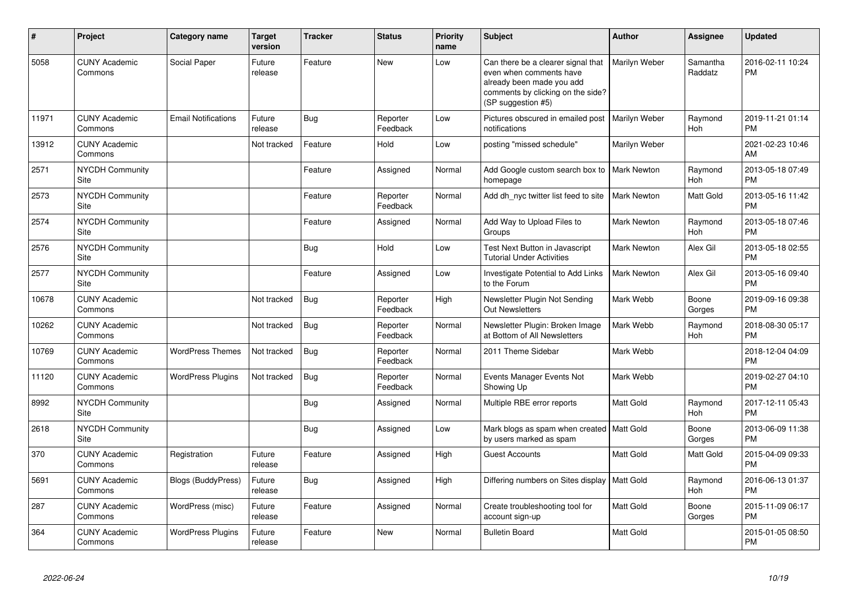| #     | Project                         | <b>Category name</b>       | <b>Target</b><br>version | <b>Tracker</b> | <b>Status</b>        | <b>Priority</b><br>name | <b>Subject</b>                                                                                                                                        | <b>Author</b> | <b>Assignee</b>       | Updated                       |
|-------|---------------------------------|----------------------------|--------------------------|----------------|----------------------|-------------------------|-------------------------------------------------------------------------------------------------------------------------------------------------------|---------------|-----------------------|-------------------------------|
| 5058  | <b>CUNY Academic</b><br>Commons | Social Paper               | Future<br>release        | Feature        | <b>New</b>           | Low                     | Can there be a clearer signal that<br>even when comments have<br>already been made you add<br>comments by clicking on the side?<br>(SP suggestion #5) | Marilyn Weber | Samantha<br>Raddatz   | 2016-02-11 10:24<br><b>PM</b> |
| 11971 | <b>CUNY Academic</b><br>Commons | <b>Email Notifications</b> | Future<br>release        | Bug            | Reporter<br>Feedback | Low                     | Pictures obscured in emailed post<br>notifications                                                                                                    | Marilyn Weber | Raymond<br>Hoh        | 2019-11-21 01:14<br><b>PM</b> |
| 13912 | <b>CUNY Academic</b><br>Commons |                            | Not tracked              | Feature        | Hold                 | Low                     | posting "missed schedule"                                                                                                                             | Marilyn Weber |                       | 2021-02-23 10:46<br>AM        |
| 2571  | NYCDH Community<br>Site         |                            |                          | Feature        | Assigned             | Normal                  | Add Google custom search box to<br>homepage                                                                                                           | Mark Newton   | Raymond<br>Hoh        | 2013-05-18 07:49<br><b>PM</b> |
| 2573  | NYCDH Community<br>Site         |                            |                          | Feature        | Reporter<br>Feedback | Normal                  | Add dh nyc twitter list feed to site                                                                                                                  | Mark Newton   | Matt Gold             | 2013-05-16 11:42<br>PM        |
| 2574  | <b>NYCDH Community</b><br>Site  |                            |                          | Feature        | Assigned             | Normal                  | Add Way to Upload Files to<br>Groups                                                                                                                  | Mark Newton   | Raymond<br>Hoh        | 2013-05-18 07:46<br><b>PM</b> |
| 2576  | <b>NYCDH Community</b><br>Site  |                            |                          | <b>Bug</b>     | Hold                 | Low                     | <b>Test Next Button in Javascript</b><br><b>Tutorial Under Activities</b>                                                                             | Mark Newton   | Alex Gil              | 2013-05-18 02:55<br><b>PM</b> |
| 2577  | <b>NYCDH Community</b><br>Site  |                            |                          | Feature        | Assigned             | Low                     | Investigate Potential to Add Links<br>to the Forum                                                                                                    | Mark Newton   | Alex Gil              | 2013-05-16 09:40<br><b>PM</b> |
| 10678 | <b>CUNY Academic</b><br>Commons |                            | Not tracked              | Bug            | Reporter<br>Feedback | High                    | Newsletter Plugin Not Sending<br><b>Out Newsletters</b>                                                                                               | Mark Webb     | Boone<br>Gorges       | 2019-09-16 09:38<br><b>PM</b> |
| 10262 | <b>CUNY Academic</b><br>Commons |                            | Not tracked              | Bug            | Reporter<br>Feedback | Normal                  | Newsletter Plugin: Broken Image<br>at Bottom of All Newsletters                                                                                       | Mark Webb     | Raymond<br>Hoh        | 2018-08-30 05:17<br><b>PM</b> |
| 10769 | <b>CUNY Academic</b><br>Commons | <b>WordPress Themes</b>    | Not tracked              | Bug            | Reporter<br>Feedback | Normal                  | 2011 Theme Sidebar                                                                                                                                    | Mark Webb     |                       | 2018-12-04 04:09<br><b>PM</b> |
| 11120 | <b>CUNY Academic</b><br>Commons | <b>WordPress Plugins</b>   | Not tracked              | <b>Bug</b>     | Reporter<br>Feedback | Normal                  | Events Manager Events Not<br>Showing Up                                                                                                               | Mark Webb     |                       | 2019-02-27 04:10<br><b>PM</b> |
| 8992  | <b>NYCDH Community</b><br>Site  |                            |                          | <b>Bug</b>     | Assigned             | Normal                  | Multiple RBE error reports                                                                                                                            | Matt Gold     | Raymond<br><b>Hoh</b> | 2017-12-11 05:43<br><b>PM</b> |
| 2618  | NYCDH Community<br>Site         |                            |                          | Bug            | Assigned             | Low                     | Mark blogs as spam when created   Matt Gold<br>by users marked as spam                                                                                |               | Boone<br>Gorges       | 2013-06-09 11:38<br><b>PM</b> |
| 370   | <b>CUNY Academic</b><br>Commons | Registration               | Future<br>release        | Feature        | Assigned             | High                    | <b>Guest Accounts</b>                                                                                                                                 | Matt Gold     | Matt Gold             | 2015-04-09 09:33<br><b>PM</b> |
| 5691  | <b>CUNY Academic</b><br>Commons | <b>Blogs (BuddyPress)</b>  | Future<br>release        | Bug            | Assigned             | High                    | Differing numbers on Sites display   Matt Gold                                                                                                        |               | Raymond<br>Hoh        | 2016-06-13 01:37<br><b>PM</b> |
| 287   | <b>CUNY Academic</b><br>Commons | WordPress (misc)           | Future<br>release        | Feature        | Assigned             | Normal                  | Create troubleshooting tool for<br>account sign-up                                                                                                    | Matt Gold     | Boone<br>Gorges       | 2015-11-09 06:17<br><b>PM</b> |
| 364   | <b>CUNY Academic</b><br>Commons | <b>WordPress Plugins</b>   | Future<br>release        | Feature        | <b>New</b>           | Normal                  | <b>Bulletin Board</b>                                                                                                                                 | Matt Gold     |                       | 2015-01-05 08:50<br><b>PM</b> |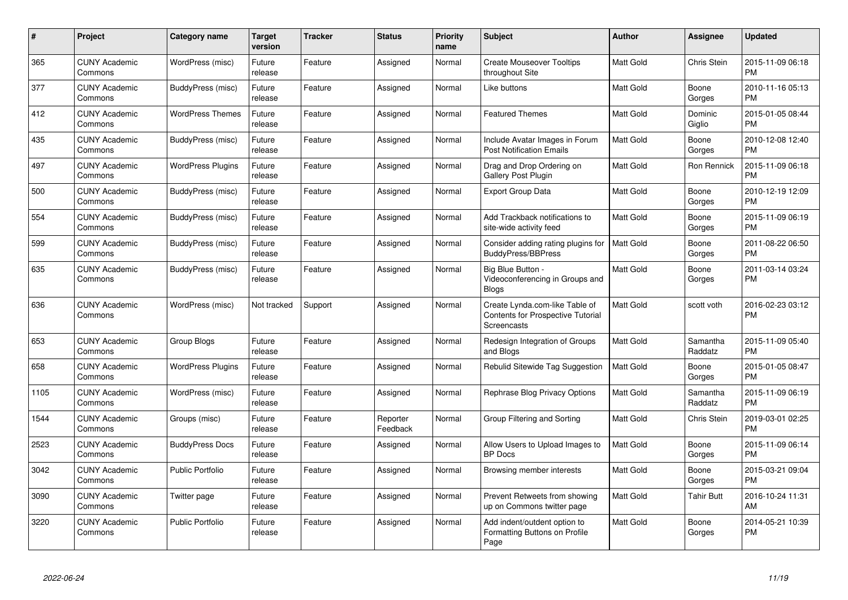| $\pmb{\#}$ | Project                         | <b>Category name</b>     | <b>Target</b><br>version | <b>Tracker</b> | <b>Status</b>        | <b>Priority</b><br>name | <b>Subject</b>                                                                            | Author           | <b>Assignee</b>     | <b>Updated</b>                |
|------------|---------------------------------|--------------------------|--------------------------|----------------|----------------------|-------------------------|-------------------------------------------------------------------------------------------|------------------|---------------------|-------------------------------|
| 365        | <b>CUNY Academic</b><br>Commons | WordPress (misc)         | Future<br>release        | Feature        | Assigned             | Normal                  | <b>Create Mouseover Tooltips</b><br>throughout Site                                       | <b>Matt Gold</b> | Chris Stein         | 2015-11-09 06:18<br><b>PM</b> |
| 377        | <b>CUNY Academic</b><br>Commons | BuddyPress (misc)        | Future<br>release        | Feature        | Assigned             | Normal                  | Like buttons                                                                              | <b>Matt Gold</b> | Boone<br>Gorges     | 2010-11-16 05:13<br><b>PM</b> |
| 412        | <b>CUNY Academic</b><br>Commons | <b>WordPress Themes</b>  | Future<br>release        | Feature        | Assigned             | Normal                  | <b>Featured Themes</b>                                                                    | Matt Gold        | Dominic<br>Giglio   | 2015-01-05 08:44<br><b>PM</b> |
| 435        | <b>CUNY Academic</b><br>Commons | BuddyPress (misc)        | Future<br>release        | Feature        | Assigned             | Normal                  | Include Avatar Images in Forum<br><b>Post Notification Emails</b>                         | <b>Matt Gold</b> | Boone<br>Gorges     | 2010-12-08 12:40<br><b>PM</b> |
| 497        | <b>CUNY Academic</b><br>Commons | <b>WordPress Plugins</b> | Future<br>release        | Feature        | Assigned             | Normal                  | Drag and Drop Ordering on<br>Gallery Post Plugin                                          | <b>Matt Gold</b> | Ron Rennick         | 2015-11-09 06:18<br><b>PM</b> |
| 500        | <b>CUNY Academic</b><br>Commons | BuddyPress (misc)        | Future<br>release        | Feature        | Assigned             | Normal                  | <b>Export Group Data</b>                                                                  | <b>Matt Gold</b> | Boone<br>Gorges     | 2010-12-19 12:09<br><b>PM</b> |
| 554        | <b>CUNY Academic</b><br>Commons | BuddyPress (misc)        | Future<br>release        | Feature        | Assigned             | Normal                  | Add Trackback notifications to<br>site-wide activity feed                                 | <b>Matt Gold</b> | Boone<br>Gorges     | 2015-11-09 06:19<br><b>PM</b> |
| 599        | <b>CUNY Academic</b><br>Commons | BuddyPress (misc)        | Future<br>release        | Feature        | Assigned             | Normal                  | Consider adding rating plugins for<br>BuddyPress/BBPress                                  | <b>Matt Gold</b> | Boone<br>Gorges     | 2011-08-22 06:50<br><b>PM</b> |
| 635        | <b>CUNY Academic</b><br>Commons | BuddyPress (misc)        | Future<br>release        | Feature        | Assigned             | Normal                  | Big Blue Button -<br>Videoconferencing in Groups and<br><b>Blogs</b>                      | <b>Matt Gold</b> | Boone<br>Gorges     | 2011-03-14 03:24<br><b>PM</b> |
| 636        | <b>CUNY Academic</b><br>Commons | WordPress (misc)         | Not tracked              | Support        | Assigned             | Normal                  | Create Lynda.com-like Table of<br><b>Contents for Prospective Tutorial</b><br>Screencasts | <b>Matt Gold</b> | scott voth          | 2016-02-23 03:12<br><b>PM</b> |
| 653        | <b>CUNY Academic</b><br>Commons | Group Blogs              | Future<br>release        | Feature        | Assigned             | Normal                  | Redesign Integration of Groups<br>and Blogs                                               | <b>Matt Gold</b> | Samantha<br>Raddatz | 2015-11-09 05:40<br><b>PM</b> |
| 658        | <b>CUNY Academic</b><br>Commons | <b>WordPress Plugins</b> | Future<br>release        | Feature        | Assigned             | Normal                  | Rebulid Sitewide Tag Suggestion                                                           | <b>Matt Gold</b> | Boone<br>Gorges     | 2015-01-05 08:47<br><b>PM</b> |
| 1105       | <b>CUNY Academic</b><br>Commons | WordPress (misc)         | Future<br>release        | Feature        | Assigned             | Normal                  | Rephrase Blog Privacy Options                                                             | <b>Matt Gold</b> | Samantha<br>Raddatz | 2015-11-09 06:19<br><b>PM</b> |
| 1544       | <b>CUNY Academic</b><br>Commons | Groups (misc)            | Future<br>release        | Feature        | Reporter<br>Feedback | Normal                  | Group Filtering and Sorting                                                               | Matt Gold        | Chris Stein         | 2019-03-01 02:25<br><b>PM</b> |
| 2523       | <b>CUNY Academic</b><br>Commons | <b>BuddyPress Docs</b>   | Future<br>release        | Feature        | Assigned             | Normal                  | Allow Users to Upload Images to<br><b>BP</b> Docs                                         | Matt Gold        | Boone<br>Gorges     | 2015-11-09 06:14<br><b>PM</b> |
| 3042       | <b>CUNY Academic</b><br>Commons | <b>Public Portfolio</b>  | Future<br>release        | Feature        | Assigned             | Normal                  | Browsing member interests                                                                 | <b>Matt Gold</b> | Boone<br>Gorges     | 2015-03-21 09:04<br><b>PM</b> |
| 3090       | <b>CUNY Academic</b><br>Commons | Twitter page             | Future<br>release        | Feature        | Assigned             | Normal                  | Prevent Retweets from showing<br>up on Commons twitter page                               | <b>Matt Gold</b> | Tahir Butt          | 2016-10-24 11:31<br>AM        |
| 3220       | <b>CUNY Academic</b><br>Commons | <b>Public Portfolio</b>  | Future<br>release        | Feature        | Assigned             | Normal                  | Add indent/outdent option to<br>Formatting Buttons on Profile<br>Page                     | <b>Matt Gold</b> | Boone<br>Gorges     | 2014-05-21 10:39<br><b>PM</b> |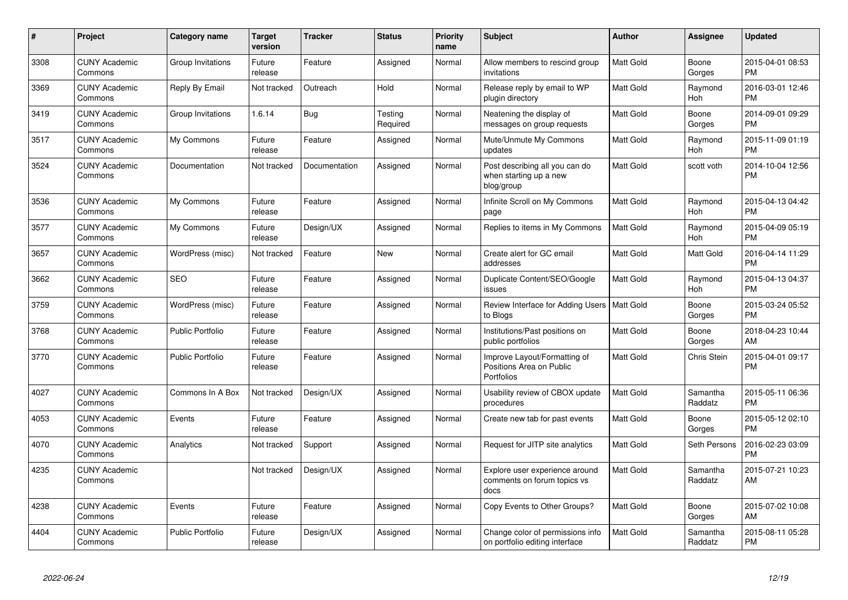| #    | Project                         | <b>Category name</b>    | <b>Target</b><br>version | <b>Tracker</b> | <b>Status</b>       | <b>Priority</b><br>name | <b>Subject</b>                                                         | <b>Author</b>    | <b>Assignee</b>     | <b>Updated</b>                |
|------|---------------------------------|-------------------------|--------------------------|----------------|---------------------|-------------------------|------------------------------------------------------------------------|------------------|---------------------|-------------------------------|
| 3308 | <b>CUNY Academic</b><br>Commons | Group Invitations       | Future<br>release        | Feature        | Assigned            | Normal                  | Allow members to rescind group<br>invitations                          | Matt Gold        | Boone<br>Gorges     | 2015-04-01 08:53<br><b>PM</b> |
| 3369 | <b>CUNY Academic</b><br>Commons | Reply By Email          | Not tracked              | Outreach       | Hold                | Normal                  | Release reply by email to WP<br>plugin directory                       | Matt Gold        | Raymond<br>Hoh      | 2016-03-01 12:46<br><b>PM</b> |
| 3419 | <b>CUNY Academic</b><br>Commons | Group Invitations       | 1.6.14                   | Bug            | Testing<br>Required | Normal                  | Neatening the display of<br>messages on group requests                 | Matt Gold        | Boone<br>Gorges     | 2014-09-01 09:29<br><b>PM</b> |
| 3517 | <b>CUNY Academic</b><br>Commons | My Commons              | Future<br>release        | Feature        | Assigned            | Normal                  | Mute/Unmute My Commons<br>updates                                      | Matt Gold        | Raymond<br>Hoh      | 2015-11-09 01:19<br><b>PM</b> |
| 3524 | <b>CUNY Academic</b><br>Commons | Documentation           | Not tracked              | Documentation  | Assigned            | Normal                  | Post describing all you can do<br>when starting up a new<br>blog/group | Matt Gold        | scott voth          | 2014-10-04 12:56<br><b>PM</b> |
| 3536 | <b>CUNY Academic</b><br>Commons | My Commons              | Future<br>release        | Feature        | Assigned            | Normal                  | Infinite Scroll on My Commons<br>page                                  | Matt Gold        | Raymond<br>Hoh      | 2015-04-13 04:42<br><b>PM</b> |
| 3577 | <b>CUNY Academic</b><br>Commons | My Commons              | Future<br>release        | Design/UX      | Assigned            | Normal                  | Replies to items in My Commons                                         | Matt Gold        | Raymond<br>Hoh      | 2015-04-09 05:19<br><b>PM</b> |
| 3657 | <b>CUNY Academic</b><br>Commons | WordPress (misc)        | Not tracked              | Feature        | <b>New</b>          | Normal                  | Create alert for GC email<br>addresses                                 | Matt Gold        | Matt Gold           | 2016-04-14 11:29<br><b>PM</b> |
| 3662 | <b>CUNY Academic</b><br>Commons | <b>SEO</b>              | Future<br>release        | Feature        | Assigned            | Normal                  | Duplicate Content/SEO/Google<br>issues                                 | <b>Matt Gold</b> | Raymond<br>Hoh      | 2015-04-13 04:37<br><b>PM</b> |
| 3759 | <b>CUNY Academic</b><br>Commons | WordPress (misc)        | Future<br>release        | Feature        | Assigned            | Normal                  | Review Interface for Adding Users   Matt Gold<br>to Blogs              |                  | Boone<br>Gorges     | 2015-03-24 05:52<br><b>PM</b> |
| 3768 | <b>CUNY Academic</b><br>Commons | <b>Public Portfolio</b> | Future<br>release        | Feature        | Assigned            | Normal                  | Institutions/Past positions on<br>public portfolios                    | Matt Gold        | Boone<br>Gorges     | 2018-04-23 10:44<br>AM        |
| 3770 | <b>CUNY Academic</b><br>Commons | <b>Public Portfolio</b> | Future<br>release        | Feature        | Assigned            | Normal                  | Improve Layout/Formatting of<br>Positions Area on Public<br>Portfolios | Matt Gold        | Chris Stein         | 2015-04-01 09:17<br>PM        |
| 4027 | <b>CUNY Academic</b><br>Commons | Commons In A Box        | Not tracked              | Design/UX      | Assigned            | Normal                  | Usability review of CBOX update<br>procedures                          | Matt Gold        | Samantha<br>Raddatz | 2015-05-11 06:36<br>PM        |
| 4053 | <b>CUNY Academic</b><br>Commons | Events                  | Future<br>release        | Feature        | Assigned            | Normal                  | Create new tab for past events                                         | Matt Gold        | Boone<br>Gorges     | 2015-05-12 02:10<br><b>PM</b> |
| 4070 | <b>CUNY Academic</b><br>Commons | Analytics               | Not tracked              | Support        | Assigned            | Normal                  | Request for JITP site analytics                                        | Matt Gold        | Seth Persons        | 2016-02-23 03:09<br>РM        |
| 4235 | <b>CUNY Academic</b><br>Commons |                         | Not tracked              | Design/UX      | Assigned            | Normal                  | Explore user experience around<br>comments on forum topics vs<br>docs  | Matt Gold        | Samantha<br>Raddatz | 2015-07-21 10:23<br>AM        |
| 4238 | <b>CUNY Academic</b><br>Commons | Events                  | Future<br>release        | Feature        | Assigned            | Normal                  | Copy Events to Other Groups?                                           | Matt Gold        | Boone<br>Gorges     | 2015-07-02 10:08<br>AM        |
| 4404 | <b>CUNY Academic</b><br>Commons | <b>Public Portfolio</b> | Future<br>release        | Design/UX      | Assigned            | Normal                  | Change color of permissions info<br>on portfolio editing interface     | Matt Gold        | Samantha<br>Raddatz | 2015-08-11 05:28<br><b>PM</b> |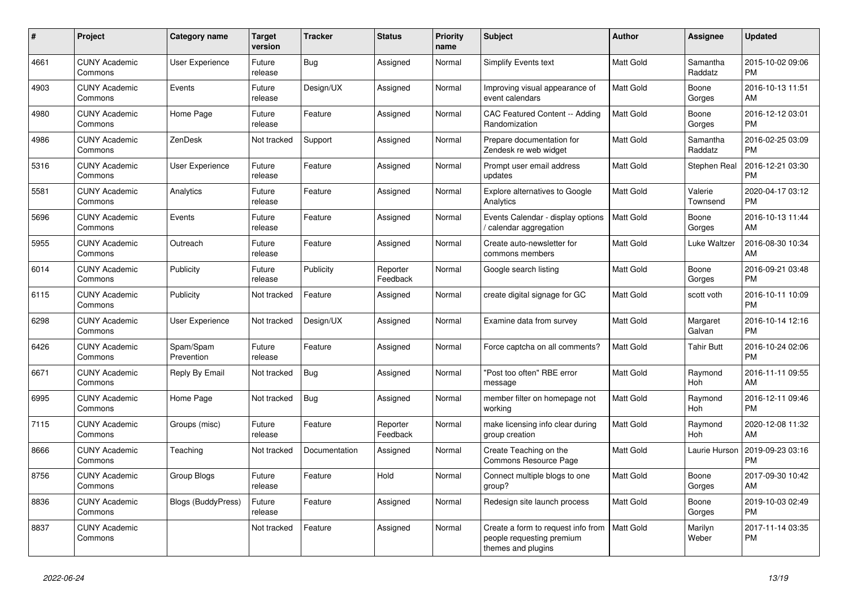| #    | <b>Project</b>                  | <b>Category name</b>    | <b>Target</b><br>version | <b>Tracker</b> | <b>Status</b>        | <b>Priority</b><br>name | <b>Subject</b>                                                                        | <b>Author</b>    | <b>Assignee</b>       | <b>Updated</b>                |
|------|---------------------------------|-------------------------|--------------------------|----------------|----------------------|-------------------------|---------------------------------------------------------------------------------------|------------------|-----------------------|-------------------------------|
| 4661 | <b>CUNY Academic</b><br>Commons | <b>User Experience</b>  | Future<br>release        | Bug            | Assigned             | Normal                  | Simplify Events text                                                                  | <b>Matt Gold</b> | Samantha<br>Raddatz   | 2015-10-02 09:06<br><b>PM</b> |
| 4903 | <b>CUNY Academic</b><br>Commons | Events                  | Future<br>release        | Design/UX      | Assigned             | Normal                  | Improving visual appearance of<br>event calendars                                     | <b>Matt Gold</b> | Boone<br>Gorges       | 2016-10-13 11:51<br>AM        |
| 4980 | <b>CUNY Academic</b><br>Commons | Home Page               | Future<br>release        | Feature        | Assigned             | Normal                  | <b>CAC Featured Content -- Adding</b><br>Randomization                                | <b>Matt Gold</b> | Boone<br>Gorges       | 2016-12-12 03:01<br><b>PM</b> |
| 4986 | <b>CUNY Academic</b><br>Commons | ZenDesk                 | Not tracked              | Support        | Assigned             | Normal                  | Prepare documentation for<br>Zendesk re web widget                                    | <b>Matt Gold</b> | Samantha<br>Raddatz   | 2016-02-25 03:09<br><b>PM</b> |
| 5316 | <b>CUNY Academic</b><br>Commons | <b>User Experience</b>  | Future<br>release        | Feature        | Assigned             | Normal                  | Prompt user email address<br>updates                                                  | Matt Gold        | Stephen Real          | 2016-12-21 03:30<br><b>PM</b> |
| 5581 | <b>CUNY Academic</b><br>Commons | Analytics               | Future<br>release        | Feature        | Assigned             | Normal                  | <b>Explore alternatives to Google</b><br>Analytics                                    | Matt Gold        | Valerie<br>Townsend   | 2020-04-17 03:12<br><b>PM</b> |
| 5696 | <b>CUNY Academic</b><br>Commons | Events                  | Future<br>release        | Feature        | Assigned             | Normal                  | Events Calendar - display options<br>calendar aggregation                             | <b>Matt Gold</b> | Boone<br>Gorges       | 2016-10-13 11:44<br>AM        |
| 5955 | <b>CUNY Academic</b><br>Commons | Outreach                | Future<br>release        | Feature        | Assigned             | Normal                  | Create auto-newsletter for<br>commons members                                         | Matt Gold        | Luke Waltzer          | 2016-08-30 10:34<br>AM        |
| 6014 | <b>CUNY Academic</b><br>Commons | Publicity               | Future<br>release        | Publicity      | Reporter<br>Feedback | Normal                  | Google search listing                                                                 | Matt Gold        | Boone<br>Gorges       | 2016-09-21 03:48<br><b>PM</b> |
| 6115 | <b>CUNY Academic</b><br>Commons | Publicity               | Not tracked              | Feature        | Assigned             | Normal                  | create digital signage for GC                                                         | <b>Matt Gold</b> | scott voth            | 2016-10-11 10:09<br><b>PM</b> |
| 6298 | <b>CUNY Academic</b><br>Commons | User Experience         | Not tracked              | Design/UX      | Assigned             | Normal                  | Examine data from survey                                                              | Matt Gold        | Margaret<br>Galvan    | 2016-10-14 12:16<br><b>PM</b> |
| 6426 | <b>CUNY Academic</b><br>Commons | Spam/Spam<br>Prevention | Future<br>release        | Feature        | Assigned             | Normal                  | Force captcha on all comments?                                                        | <b>Matt Gold</b> | <b>Tahir Butt</b>     | 2016-10-24 02:06<br><b>PM</b> |
| 6671 | <b>CUNY Academic</b><br>Commons | Reply By Email          | Not tracked              | <b>Bug</b>     | Assigned             | Normal                  | 'Post too often" RBE error<br>message                                                 | <b>Matt Gold</b> | Raymond<br><b>Hoh</b> | 2016-11-11 09:55<br>AM        |
| 6995 | <b>CUNY Academic</b><br>Commons | Home Page               | Not tracked              | <b>Bug</b>     | Assigned             | Normal                  | member filter on homepage not<br>working                                              | <b>Matt Gold</b> | Raymond<br>Hoh        | 2016-12-11 09:46<br><b>PM</b> |
| 7115 | <b>CUNY Academic</b><br>Commons | Groups (misc)           | Future<br>release        | Feature        | Reporter<br>Feedback | Normal                  | make licensing info clear during<br>group creation                                    | <b>Matt Gold</b> | Raymond<br><b>Hoh</b> | 2020-12-08 11:32<br>AM        |
| 8666 | <b>CUNY Academic</b><br>Commons | Teaching                | Not tracked              | Documentation  | Assigned             | Normal                  | Create Teaching on the<br>Commons Resource Page                                       | <b>Matt Gold</b> | Laurie Hurson         | 2019-09-23 03:16<br><b>PM</b> |
| 8756 | <b>CUNY Academic</b><br>Commons | Group Blogs             | Future<br>release        | Feature        | Hold                 | Normal                  | Connect multiple blogs to one<br>group?                                               | Matt Gold        | Boone<br>Gorges       | 2017-09-30 10:42<br>AM        |
| 8836 | <b>CUNY Academic</b><br>Commons | Blogs (BuddyPress)      | Future<br>release        | Feature        | Assigned             | Normal                  | Redesign site launch process                                                          | Matt Gold        | Boone<br>Gorges       | 2019-10-03 02:49<br><b>PM</b> |
| 8837 | <b>CUNY Academic</b><br>Commons |                         | Not tracked              | Feature        | Assigned             | Normal                  | Create a form to request info from<br>people requesting premium<br>themes and plugins | <b>Matt Gold</b> | Marilyn<br>Weber      | 2017-11-14 03:35<br><b>PM</b> |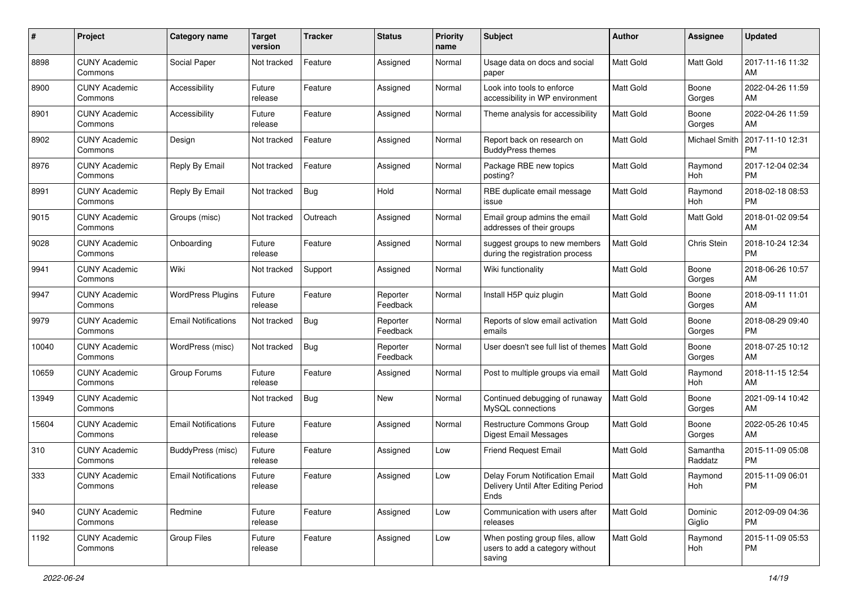| #     | Project                         | Category name              | <b>Target</b><br>version | <b>Tracker</b> | <b>Status</b>        | <b>Priority</b><br>name | Subject                                                                       | Author           | <b>Assignee</b>     | <b>Updated</b>                |
|-------|---------------------------------|----------------------------|--------------------------|----------------|----------------------|-------------------------|-------------------------------------------------------------------------------|------------------|---------------------|-------------------------------|
| 8898  | <b>CUNY Academic</b><br>Commons | Social Paper               | Not tracked              | Feature        | Assigned             | Normal                  | Usage data on docs and social<br>paper                                        | <b>Matt Gold</b> | Matt Gold           | 2017-11-16 11:32<br>AM        |
| 8900  | <b>CUNY Academic</b><br>Commons | Accessibility              | Future<br>release        | Feature        | Assigned             | Normal                  | Look into tools to enforce<br>accessibility in WP environment                 | <b>Matt Gold</b> | Boone<br>Gorges     | 2022-04-26 11:59<br>AM        |
| 8901  | <b>CUNY Academic</b><br>Commons | Accessibility              | Future<br>release        | Feature        | Assigned             | Normal                  | Theme analysis for accessibility                                              | <b>Matt Gold</b> | Boone<br>Gorges     | 2022-04-26 11:59<br>AM        |
| 8902  | <b>CUNY Academic</b><br>Commons | Design                     | Not tracked              | Feature        | Assigned             | Normal                  | Report back on research on<br><b>BuddyPress themes</b>                        | <b>Matt Gold</b> | Michael Smith       | 2017-11-10 12:31<br><b>PM</b> |
| 8976  | <b>CUNY Academic</b><br>Commons | Reply By Email             | Not tracked              | Feature        | Assigned             | Normal                  | Package RBE new topics<br>posting?                                            | Matt Gold        | Raymond<br>Hoh      | 2017-12-04 02:34<br><b>PM</b> |
| 8991  | <b>CUNY Academic</b><br>Commons | Reply By Email             | Not tracked              | <b>Bug</b>     | Hold                 | Normal                  | RBE duplicate email message<br>issue                                          | <b>Matt Gold</b> | Raymond<br>Hoh      | 2018-02-18 08:53<br><b>PM</b> |
| 9015  | <b>CUNY Academic</b><br>Commons | Groups (misc)              | Not tracked              | Outreach       | Assigned             | Normal                  | Email group admins the email<br>addresses of their groups                     | Matt Gold        | Matt Gold           | 2018-01-02 09:54<br>AM        |
| 9028  | <b>CUNY Academic</b><br>Commons | Onboarding                 | Future<br>release        | Feature        | Assigned             | Normal                  | suggest groups to new members<br>during the registration process              | <b>Matt Gold</b> | Chris Stein         | 2018-10-24 12:34<br><b>PM</b> |
| 9941  | <b>CUNY Academic</b><br>Commons | Wiki                       | Not tracked              | Support        | Assigned             | Normal                  | Wiki functionality                                                            | <b>Matt Gold</b> | Boone<br>Gorges     | 2018-06-26 10:57<br>AM        |
| 9947  | <b>CUNY Academic</b><br>Commons | <b>WordPress Plugins</b>   | Future<br>release        | Feature        | Reporter<br>Feedback | Normal                  | Install H5P quiz plugin                                                       | <b>Matt Gold</b> | Boone<br>Gorges     | 2018-09-11 11:01<br>AM        |
| 9979  | <b>CUNY Academic</b><br>Commons | <b>Email Notifications</b> | Not tracked              | <b>Bug</b>     | Reporter<br>Feedback | Normal                  | Reports of slow email activation<br>emails                                    | Matt Gold        | Boone<br>Gorges     | 2018-08-29 09:40<br><b>PM</b> |
| 10040 | <b>CUNY Academic</b><br>Commons | WordPress (misc)           | Not tracked              | <b>Bug</b>     | Reporter<br>Feedback | Normal                  | User doesn't see full list of themes                                          | <b>Matt Gold</b> | Boone<br>Gorges     | 2018-07-25 10:12<br>AM        |
| 10659 | <b>CUNY Academic</b><br>Commons | Group Forums               | Future<br>release        | Feature        | Assigned             | Normal                  | Post to multiple groups via email                                             | <b>Matt Gold</b> | Raymond<br>Hoh      | 2018-11-15 12:54<br>AM        |
| 13949 | <b>CUNY Academic</b><br>Commons |                            | Not tracked              | <b>Bug</b>     | <b>New</b>           | Normal                  | Continued debugging of runaway<br>MySQL connections                           | Matt Gold        | Boone<br>Gorges     | 2021-09-14 10:42<br>AM        |
| 15604 | <b>CUNY Academic</b><br>Commons | <b>Email Notifications</b> | Future<br>release        | Feature        | Assigned             | Normal                  | <b>Restructure Commons Group</b><br><b>Digest Email Messages</b>              | <b>Matt Gold</b> | Boone<br>Gorges     | 2022-05-26 10:45<br>AM        |
| 310   | <b>CUNY Academic</b><br>Commons | BuddyPress (misc)          | Future<br>release        | Feature        | Assigned             | Low                     | <b>Friend Request Email</b>                                                   | <b>Matt Gold</b> | Samantha<br>Raddatz | 2015-11-09 05:08<br><b>PM</b> |
| 333   | <b>CUNY Academic</b><br>Commons | <b>Email Notifications</b> | Future<br>release        | Feature        | Assigned             | Low                     | Delay Forum Notification Email<br>Delivery Until After Editing Period<br>Ends | <b>Matt Gold</b> | Raymond<br>Hoh      | 2015-11-09 06:01<br>PM        |
| 940   | <b>CUNY Academic</b><br>Commons | Redmine                    | Future<br>release        | Feature        | Assigned             | Low                     | Communication with users after<br>releases                                    | Matt Gold        | Dominic<br>Giglio   | 2012-09-09 04:36<br><b>PM</b> |
| 1192  | <b>CUNY Academic</b><br>Commons | Group Files                | Future<br>release        | Feature        | Assigned             | Low                     | When posting group files, allow<br>users to add a category without<br>saving  | Matt Gold        | Raymond<br>Hoh      | 2015-11-09 05:53<br><b>PM</b> |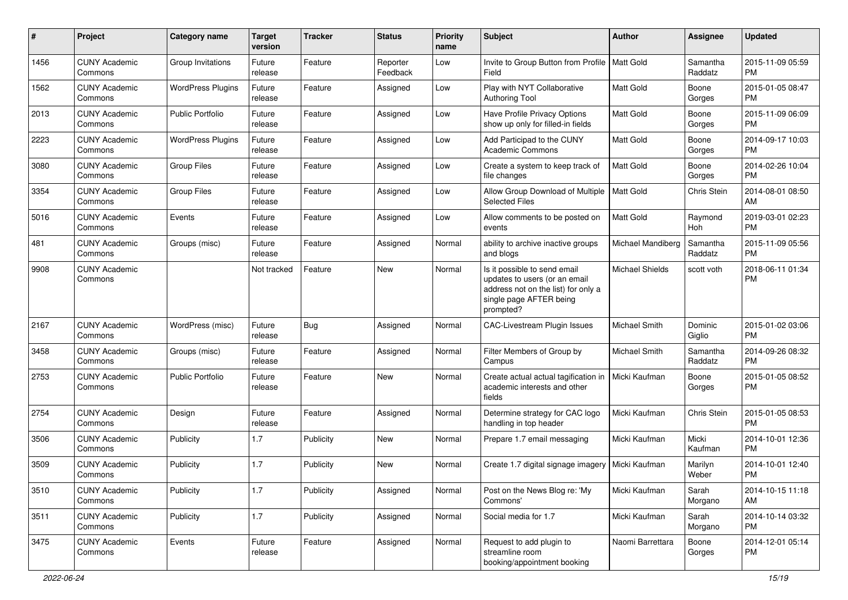| #    | Project                         | <b>Category name</b>     | <b>Target</b><br>version | <b>Tracker</b> | <b>Status</b>        | <b>Priority</b><br>name | <b>Subject</b>                                                                                                                               | <b>Author</b>          | <b>Assignee</b>     | <b>Updated</b>                |
|------|---------------------------------|--------------------------|--------------------------|----------------|----------------------|-------------------------|----------------------------------------------------------------------------------------------------------------------------------------------|------------------------|---------------------|-------------------------------|
| 1456 | <b>CUNY Academic</b><br>Commons | Group Invitations        | Future<br>release        | Feature        | Reporter<br>Feedback | Low                     | Invite to Group Button from Profile<br>Field                                                                                                 | <b>Matt Gold</b>       | Samantha<br>Raddatz | 2015-11-09 05:59<br><b>PM</b> |
| 1562 | <b>CUNY Academic</b><br>Commons | <b>WordPress Plugins</b> | Future<br>release        | Feature        | Assigned             | Low                     | Play with NYT Collaborative<br><b>Authoring Tool</b>                                                                                         | Matt Gold              | Boone<br>Gorges     | 2015-01-05 08:47<br><b>PM</b> |
| 2013 | <b>CUNY Academic</b><br>Commons | <b>Public Portfolio</b>  | Future<br>release        | Feature        | Assigned             | Low                     | Have Profile Privacy Options<br>show up only for filled-in fields                                                                            | Matt Gold              | Boone<br>Gorges     | 2015-11-09 06:09<br><b>PM</b> |
| 2223 | <b>CUNY Academic</b><br>Commons | <b>WordPress Plugins</b> | Future<br>release        | Feature        | Assigned             | Low                     | Add Participad to the CUNY<br><b>Academic Commons</b>                                                                                        | <b>Matt Gold</b>       | Boone<br>Gorges     | 2014-09-17 10:03<br><b>PM</b> |
| 3080 | <b>CUNY Academic</b><br>Commons | <b>Group Files</b>       | Future<br>release        | Feature        | Assigned             | Low                     | Create a system to keep track of<br>file changes                                                                                             | <b>Matt Gold</b>       | Boone<br>Gorges     | 2014-02-26 10:04<br><b>PM</b> |
| 3354 | <b>CUNY Academic</b><br>Commons | Group Files              | Future<br>release        | Feature        | Assigned             | Low                     | Allow Group Download of Multiple<br><b>Selected Files</b>                                                                                    | <b>Matt Gold</b>       | Chris Stein         | 2014-08-01 08:50<br>AM        |
| 5016 | <b>CUNY Academic</b><br>Commons | Events                   | Future<br>release        | Feature        | Assigned             | Low                     | Allow comments to be posted on<br>events                                                                                                     | Matt Gold              | Raymond<br>Hoh      | 2019-03-01 02:23<br><b>PM</b> |
| 481  | <b>CUNY Academic</b><br>Commons | Groups (misc)            | Future<br>release        | Feature        | Assigned             | Normal                  | ability to archive inactive groups<br>and blogs                                                                                              | Michael Mandiberg      | Samantha<br>Raddatz | 2015-11-09 05:56<br><b>PM</b> |
| 9908 | <b>CUNY Academic</b><br>Commons |                          | Not tracked              | Feature        | New                  | Normal                  | Is it possible to send email<br>updates to users (or an email<br>address not on the list) for only a<br>single page AFTER being<br>prompted? | <b>Michael Shields</b> | scott voth          | 2018-06-11 01:34<br><b>PM</b> |
| 2167 | <b>CUNY Academic</b><br>Commons | WordPress (misc)         | Future<br>release        | <b>Bug</b>     | Assigned             | Normal                  | CAC-Livestream Plugin Issues                                                                                                                 | Michael Smith          | Dominic<br>Giglio   | 2015-01-02 03:06<br><b>PM</b> |
| 3458 | <b>CUNY Academic</b><br>Commons | Groups (misc)            | Future<br>release        | Feature        | Assigned             | Normal                  | Filter Members of Group by<br>Campus                                                                                                         | Michael Smith          | Samantha<br>Raddatz | 2014-09-26 08:32<br><b>PM</b> |
| 2753 | <b>CUNY Academic</b><br>Commons | <b>Public Portfolio</b>  | Future<br>release        | Feature        | New                  | Normal                  | Create actual actual tagification in<br>academic interests and other<br>fields                                                               | Micki Kaufman          | Boone<br>Gorges     | 2015-01-05 08:52<br><b>PM</b> |
| 2754 | <b>CUNY Academic</b><br>Commons | Design                   | Future<br>release        | Feature        | Assigned             | Normal                  | Determine strategy for CAC logo<br>handling in top header                                                                                    | Micki Kaufman          | Chris Stein         | 2015-01-05 08:53<br><b>PM</b> |
| 3506 | <b>CUNY Academic</b><br>Commons | Publicity                | 1.7                      | Publicity      | New                  | Normal                  | Prepare 1.7 email messaging                                                                                                                  | Micki Kaufman          | Micki<br>Kaufman    | 2014-10-01 12:36<br><b>PM</b> |
| 3509 | <b>CUNY Academic</b><br>Commons | Publicity                | 1.7                      | Publicity      | New                  | Normal                  | Create 1.7 digital signage imagery                                                                                                           | Micki Kaufman          | Marilyn<br>Weber    | 2014-10-01 12:40<br><b>PM</b> |
| 3510 | <b>CUNY Academic</b><br>Commons | Publicity                | 1.7                      | Publicity      | Assigned             | Normal                  | Post on the News Blog re: 'My<br>Commons'                                                                                                    | Micki Kaufman          | Sarah<br>Morgano    | 2014-10-15 11:18<br>AM        |
| 3511 | <b>CUNY Academic</b><br>Commons | Publicity                | 1.7                      | Publicity      | Assigned             | Normal                  | Social media for 1.7                                                                                                                         | Micki Kaufman          | Sarah<br>Morgano    | 2014-10-14 03:32<br>PM        |
| 3475 | <b>CUNY Academic</b><br>Commons | Events                   | Future<br>release        | Feature        | Assigned             | Normal                  | Request to add plugin to<br>streamline room<br>booking/appointment booking                                                                   | Naomi Barrettara       | Boone<br>Gorges     | 2014-12-01 05:14<br>PM        |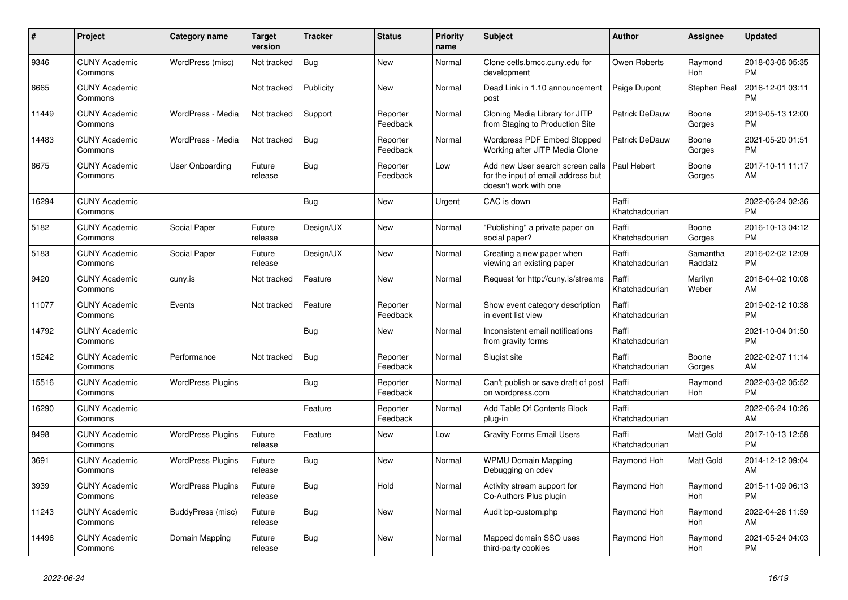| #     | Project                         | <b>Category name</b>     | Target<br>version | <b>Tracker</b> | <b>Status</b>        | <b>Priority</b><br>name | <b>Subject</b>                                                                                  | <b>Author</b>           | <b>Assignee</b>       | <b>Updated</b>                |
|-------|---------------------------------|--------------------------|-------------------|----------------|----------------------|-------------------------|-------------------------------------------------------------------------------------------------|-------------------------|-----------------------|-------------------------------|
| 9346  | <b>CUNY Academic</b><br>Commons | WordPress (misc)         | Not tracked       | <b>Bug</b>     | <b>New</b>           | Normal                  | Clone cetls.bmcc.cuny.edu for<br>development                                                    | Owen Roberts            | Raymond<br><b>Hoh</b> | 2018-03-06 05:35<br><b>PM</b> |
| 6665  | <b>CUNY Academic</b><br>Commons |                          | Not tracked       | Publicity      | <b>New</b>           | Normal                  | Dead Link in 1.10 announcement<br>post                                                          | Paige Dupont            | <b>Stephen Real</b>   | 2016-12-01 03:11<br><b>PM</b> |
| 11449 | <b>CUNY Academic</b><br>Commons | WordPress - Media        | Not tracked       | Support        | Reporter<br>Feedback | Normal                  | Cloning Media Library for JITP<br>from Staging to Production Site                               | Patrick DeDauw          | Boone<br>Gorges       | 2019-05-13 12:00<br><b>PM</b> |
| 14483 | <b>CUNY Academic</b><br>Commons | WordPress - Media        | Not tracked       | Bug            | Reporter<br>Feedback | Normal                  | <b>Wordpress PDF Embed Stopped</b><br>Working after JITP Media Clone                            | Patrick DeDauw          | Boone<br>Gorges       | 2021-05-20 01:51<br><b>PM</b> |
| 8675  | <b>CUNY Academic</b><br>Commons | User Onboarding          | Future<br>release | Bug            | Reporter<br>Feedback | Low                     | Add new User search screen calls<br>for the input of email address but<br>doesn't work with one | Paul Hebert             | Boone<br>Gorges       | 2017-10-11 11:17<br>AM        |
| 16294 | <b>CUNY Academic</b><br>Commons |                          |                   | Bug            | <b>New</b>           | Urgent                  | CAC is down                                                                                     | Raffi<br>Khatchadourian |                       | 2022-06-24 02:36<br><b>PM</b> |
| 5182  | <b>CUNY Academic</b><br>Commons | Social Paper             | Future<br>release | Design/UX      | New                  | Normal                  | "Publishing" a private paper on<br>social paper?                                                | Raffi<br>Khatchadourian | Boone<br>Gorges       | 2016-10-13 04:12<br><b>PM</b> |
| 5183  | <b>CUNY Academic</b><br>Commons | Social Paper             | Future<br>release | Design/UX      | <b>New</b>           | Normal                  | Creating a new paper when<br>viewing an existing paper                                          | Raffi<br>Khatchadourian | Samantha<br>Raddatz   | 2016-02-02 12:09<br><b>PM</b> |
| 9420  | <b>CUNY Academic</b><br>Commons | cuny.is                  | Not tracked       | Feature        | <b>New</b>           | Normal                  | Request for http://cuny.is/streams                                                              | Raffi<br>Khatchadourian | Marilyn<br>Weber      | 2018-04-02 10:08<br>AM        |
| 11077 | <b>CUNY Academic</b><br>Commons | Events                   | Not tracked       | Feature        | Reporter<br>Feedback | Normal                  | Show event category description<br>in event list view                                           | Raffi<br>Khatchadourian |                       | 2019-02-12 10:38<br><b>PM</b> |
| 14792 | <b>CUNY Academic</b><br>Commons |                          |                   | <b>Bug</b>     | <b>New</b>           | Normal                  | Inconsistent email notifications<br>from gravity forms                                          | Raffi<br>Khatchadourian |                       | 2021-10-04 01:50<br><b>PM</b> |
| 15242 | <b>CUNY Academic</b><br>Commons | Performance              | Not tracked       | Bug            | Reporter<br>Feedback | Normal                  | Slugist site                                                                                    | Raffi<br>Khatchadourian | Boone<br>Gorges       | 2022-02-07 11:14<br>AM        |
| 15516 | <b>CUNY Academic</b><br>Commons | <b>WordPress Plugins</b> |                   | <b>Bug</b>     | Reporter<br>Feedback | Normal                  | Can't publish or save draft of post<br>on wordpress.com                                         | Raffi<br>Khatchadourian | Raymond<br><b>Hoh</b> | 2022-03-02 05:52<br><b>PM</b> |
| 16290 | <b>CUNY Academic</b><br>Commons |                          |                   | Feature        | Reporter<br>Feedback | Normal                  | Add Table Of Contents Block<br>plug-in                                                          | Raffi<br>Khatchadourian |                       | 2022-06-24 10:26<br>AM        |
| 8498  | <b>CUNY Academic</b><br>Commons | <b>WordPress Plugins</b> | Future<br>release | Feature        | New                  | Low                     | <b>Gravity Forms Email Users</b>                                                                | Raffi<br>Khatchadourian | Matt Gold             | 2017-10-13 12:58<br><b>PM</b> |
| 3691  | <b>CUNY Academic</b><br>Commons | <b>WordPress Plugins</b> | Future<br>release | <b>Bug</b>     | <b>New</b>           | Normal                  | <b>WPMU Domain Mapping</b><br>Debugging on cdev                                                 | Raymond Hoh             | <b>Matt Gold</b>      | 2014-12-12 09:04<br>AM        |
| 3939  | <b>CUNY Academic</b><br>Commons | <b>WordPress Plugins</b> | Future<br>release | <b>Bug</b>     | Hold                 | Normal                  | Activity stream support for<br>Co-Authors Plus plugin                                           | Raymond Hoh             | Raymond<br>Hoh        | 2015-11-09 06:13<br><b>PM</b> |
| 11243 | <b>CUNY Academic</b><br>Commons | BuddyPress (misc)        | Future<br>release | Bug            | <b>New</b>           | Normal                  | Audit bp-custom.php                                                                             | Raymond Hoh             | Raymond<br>Hoh        | 2022-04-26 11:59<br>AM        |
| 14496 | <b>CUNY Academic</b><br>Commons | Domain Mapping           | Future<br>release | <b>Bug</b>     | <b>New</b>           | Normal                  | Mapped domain SSO uses<br>third-party cookies                                                   | Raymond Hoh             | Raymond<br>Hoh        | 2021-05-24 04:03<br><b>PM</b> |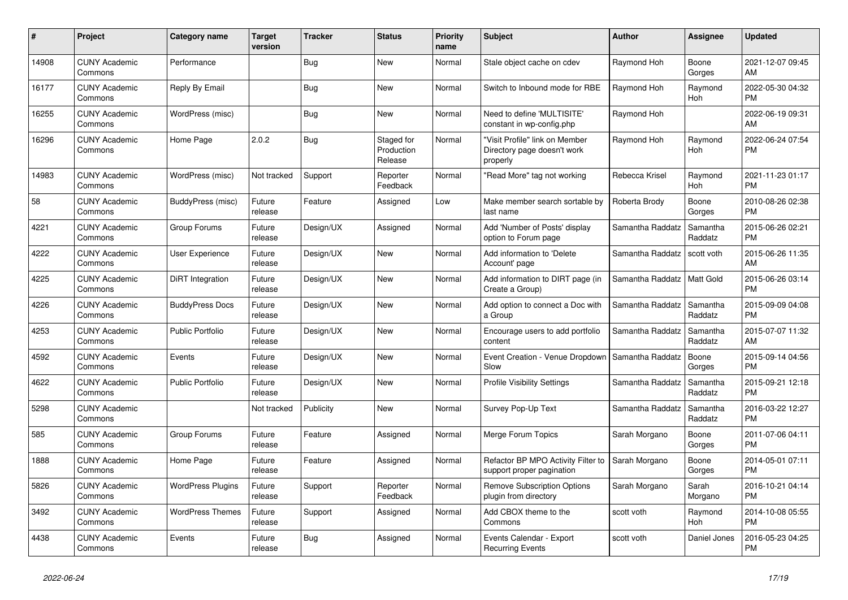| #     | <b>Project</b>                  | Category name            | <b>Target</b><br>version | <b>Tracker</b> | <b>Status</b>                       | <b>Priority</b><br>name | <b>Subject</b>                                                            | <b>Author</b>    | <b>Assignee</b>       | <b>Updated</b>                |
|-------|---------------------------------|--------------------------|--------------------------|----------------|-------------------------------------|-------------------------|---------------------------------------------------------------------------|------------------|-----------------------|-------------------------------|
| 14908 | <b>CUNY Academic</b><br>Commons | Performance              |                          | <b>Bug</b>     | <b>New</b>                          | Normal                  | Stale object cache on cdev                                                | Raymond Hoh      | Boone<br>Gorges       | 2021-12-07 09:45<br>AM        |
| 16177 | <b>CUNY Academic</b><br>Commons | Reply By Email           |                          | <b>Bug</b>     | <b>New</b>                          | Normal                  | Switch to Inbound mode for RBE                                            | Raymond Hoh      | Raymond<br>Hoh        | 2022-05-30 04:32<br><b>PM</b> |
| 16255 | <b>CUNY Academic</b><br>Commons | WordPress (misc)         |                          | Bug            | <b>New</b>                          | Normal                  | Need to define 'MULTISITE'<br>constant in wp-config.php                   | Raymond Hoh      |                       | 2022-06-19 09:31<br>AM        |
| 16296 | <b>CUNY Academic</b><br>Commons | Home Page                | 2.0.2                    | <b>Bug</b>     | Staged for<br>Production<br>Release | Normal                  | "Visit Profile" link on Member<br>Directory page doesn't work<br>properly | Raymond Hoh      | Raymond<br><b>Hoh</b> | 2022-06-24 07:54<br><b>PM</b> |
| 14983 | <b>CUNY Academic</b><br>Commons | WordPress (misc)         | Not tracked              | Support        | Reporter<br>Feedback                | Normal                  | 'Read More" tag not working                                               | Rebecca Krisel   | Raymond<br>Hoh        | 2021-11-23 01:17<br><b>PM</b> |
| 58    | <b>CUNY Academic</b><br>Commons | BuddyPress (misc)        | Future<br>release        | Feature        | Assigned                            | Low                     | Make member search sortable by<br>last name                               | Roberta Brody    | Boone<br>Gorges       | 2010-08-26 02:38<br><b>PM</b> |
| 4221  | <b>CUNY Academic</b><br>Commons | Group Forums             | Future<br>release        | Design/UX      | Assigned                            | Normal                  | Add 'Number of Posts' display<br>option to Forum page                     | Samantha Raddatz | Samantha<br>Raddatz   | 2015-06-26 02:21<br><b>PM</b> |
| 4222  | <b>CUNY Academic</b><br>Commons | User Experience          | Future<br>release        | Design/UX      | New                                 | Normal                  | Add information to 'Delete<br>Account' page                               | Samantha Raddatz | scott voth            | 2015-06-26 11:35<br>AM        |
| 4225  | <b>CUNY Academic</b><br>Commons | DiRT Integration         | Future<br>release        | Design/UX      | <b>New</b>                          | Normal                  | Add information to DIRT page (in<br>Create a Group)                       | Samantha Raddatz | <b>Matt Gold</b>      | 2015-06-26 03:14<br><b>PM</b> |
| 4226  | <b>CUNY Academic</b><br>Commons | <b>BuddyPress Docs</b>   | Future<br>release        | Design/UX      | <b>New</b>                          | Normal                  | Add option to connect a Doc with<br>a Group                               | Samantha Raddatz | Samantha<br>Raddatz   | 2015-09-09 04:08<br><b>PM</b> |
| 4253  | <b>CUNY Academic</b><br>Commons | <b>Public Portfolio</b>  | Future<br>release        | Design/UX      | New                                 | Normal                  | Encourage users to add portfolio<br>content                               | Samantha Raddatz | Samantha<br>Raddatz   | 2015-07-07 11:32<br>AM        |
| 4592  | <b>CUNY Academic</b><br>Commons | Events                   | Future<br>release        | Design/UX      | <b>New</b>                          | Normal                  | Event Creation - Venue Dropdown<br>Slow                                   | Samantha Raddatz | Boone<br>Gorges       | 2015-09-14 04:56<br><b>PM</b> |
| 4622  | <b>CUNY Academic</b><br>Commons | <b>Public Portfolio</b>  | Future<br>release        | Design/UX      | <b>New</b>                          | Normal                  | <b>Profile Visibility Settings</b>                                        | Samantha Raddatz | Samantha<br>Raddatz   | 2015-09-21 12:18<br><b>PM</b> |
| 5298  | <b>CUNY Academic</b><br>Commons |                          | Not tracked              | Publicity      | <b>New</b>                          | Normal                  | Survey Pop-Up Text                                                        | Samantha Raddatz | Samantha<br>Raddatz   | 2016-03-22 12:27<br><b>PM</b> |
| 585   | <b>CUNY Academic</b><br>Commons | Group Forums             | Future<br>release        | Feature        | Assigned                            | Normal                  | Merge Forum Topics                                                        | Sarah Morgano    | Boone<br>Gorges       | 2011-07-06 04:11<br><b>PM</b> |
| 1888  | <b>CUNY Academic</b><br>Commons | Home Page                | Future<br>release        | Feature        | Assigned                            | Normal                  | Refactor BP MPO Activity Filter to<br>support proper pagination           | Sarah Morgano    | Boone<br>Gorges       | 2014-05-01 07:11<br><b>PM</b> |
| 5826  | <b>CUNY Academic</b><br>Commons | <b>WordPress Plugins</b> | Future<br>release        | Support        | Reporter<br>Feedback                | Normal                  | <b>Remove Subscription Options</b><br>plugin from directory               | Sarah Morgano    | Sarah<br>Morgano      | 2016-10-21 04:14<br><b>PM</b> |
| 3492  | <b>CUNY Academic</b><br>Commons | <b>WordPress Themes</b>  | Future<br>release        | Support        | Assigned                            | Normal                  | Add CBOX theme to the<br>Commons                                          | scott voth       | Raymond<br><b>Hoh</b> | 2014-10-08 05:55<br><b>PM</b> |
| 4438  | <b>CUNY Academic</b><br>Commons | Events                   | Future<br>release        | <b>Bug</b>     | Assigned                            | Normal                  | Events Calendar - Export<br><b>Recurring Events</b>                       | scott voth       | Daniel Jones          | 2016-05-23 04:25<br><b>PM</b> |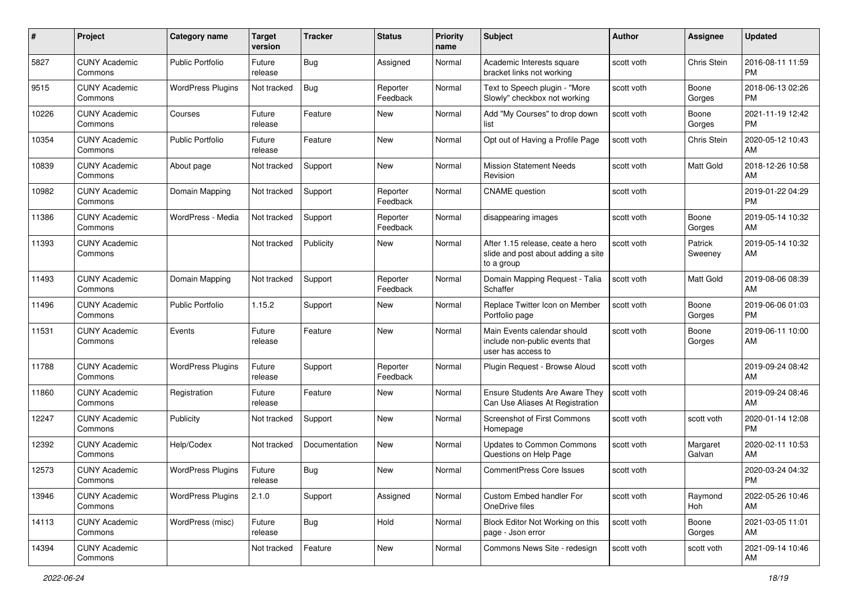| #     | Project                         | <b>Category name</b>     | <b>Target</b><br>version | <b>Tracker</b> | <b>Status</b>        | <b>Priority</b><br>name | <b>Subject</b>                                                                       | Author     | Assignee           | <b>Updated</b>                |
|-------|---------------------------------|--------------------------|--------------------------|----------------|----------------------|-------------------------|--------------------------------------------------------------------------------------|------------|--------------------|-------------------------------|
| 5827  | <b>CUNY Academic</b><br>Commons | <b>Public Portfolio</b>  | Future<br>release        | <b>Bug</b>     | Assigned             | Normal                  | Academic Interests square<br>bracket links not working                               | scott voth | Chris Stein        | 2016-08-11 11:59<br><b>PM</b> |
| 9515  | <b>CUNY Academic</b><br>Commons | <b>WordPress Plugins</b> | Not tracked              | <b>Bug</b>     | Reporter<br>Feedback | Normal                  | Text to Speech plugin - "More<br>Slowly" checkbox not working                        | scott voth | Boone<br>Gorges    | 2018-06-13 02:26<br><b>PM</b> |
| 10226 | <b>CUNY Academic</b><br>Commons | Courses                  | Future<br>release        | Feature        | <b>New</b>           | Normal                  | Add "My Courses" to drop down<br>list                                                | scott voth | Boone<br>Gorges    | 2021-11-19 12:42<br><b>PM</b> |
| 10354 | <b>CUNY Academic</b><br>Commons | <b>Public Portfolio</b>  | Future<br>release        | Feature        | <b>New</b>           | Normal                  | Opt out of Having a Profile Page                                                     | scott voth | Chris Stein        | 2020-05-12 10:43<br>AM        |
| 10839 | <b>CUNY Academic</b><br>Commons | About page               | Not tracked              | Support        | <b>New</b>           | Normal                  | <b>Mission Statement Needs</b><br>Revision                                           | scott voth | <b>Matt Gold</b>   | 2018-12-26 10:58<br>AM        |
| 10982 | <b>CUNY Academic</b><br>Commons | Domain Mapping           | Not tracked              | Support        | Reporter<br>Feedback | Normal                  | <b>CNAME</b> question                                                                | scott voth |                    | 2019-01-22 04:29<br><b>PM</b> |
| 11386 | <b>CUNY Academic</b><br>Commons | WordPress - Media        | Not tracked              | Support        | Reporter<br>Feedback | Normal                  | disappearing images                                                                  | scott voth | Boone<br>Gorges    | 2019-05-14 10:32<br>AM        |
| 11393 | <b>CUNY Academic</b><br>Commons |                          | Not tracked              | Publicity      | New                  | Normal                  | After 1.15 release, ceate a hero<br>slide and post about adding a site<br>to a group | scott voth | Patrick<br>Sweeney | 2019-05-14 10:32<br>AM        |
| 11493 | <b>CUNY Academic</b><br>Commons | Domain Mapping           | Not tracked              | Support        | Reporter<br>Feedback | Normal                  | Domain Mapping Request - Talia<br>Schaffer                                           | scott voth | Matt Gold          | 2019-08-06 08:39<br>AM        |
| 11496 | <b>CUNY Academic</b><br>Commons | <b>Public Portfolio</b>  | 1.15.2                   | Support        | New                  | Normal                  | Replace Twitter Icon on Member<br>Portfolio page                                     | scott voth | Boone<br>Gorges    | 2019-06-06 01:03<br><b>PM</b> |
| 11531 | <b>CUNY Academic</b><br>Commons | Events                   | Future<br>release        | Feature        | <b>New</b>           | Normal                  | Main Events calendar should<br>include non-public events that<br>user has access to  | scott voth | Boone<br>Gorges    | 2019-06-11 10:00<br>AM        |
| 11788 | <b>CUNY Academic</b><br>Commons | <b>WordPress Plugins</b> | Future<br>release        | Support        | Reporter<br>Feedback | Normal                  | Plugin Request - Browse Aloud                                                        | scott voth |                    | 2019-09-24 08:42<br>AM        |
| 11860 | <b>CUNY Academic</b><br>Commons | Registration             | Future<br>release        | Feature        | <b>New</b>           | Normal                  | Ensure Students Are Aware They<br>Can Use Aliases At Registration                    | scott voth |                    | 2019-09-24 08:46<br>AM        |
| 12247 | <b>CUNY Academic</b><br>Commons | Publicity                | Not tracked              | Support        | <b>New</b>           | Normal                  | Screenshot of First Commons<br>Homepage                                              | scott voth | scott voth         | 2020-01-14 12:08<br><b>PM</b> |
| 12392 | <b>CUNY Academic</b><br>Commons | Help/Codex               | Not tracked              | Documentation  | <b>New</b>           | Normal                  | <b>Updates to Common Commons</b><br>Questions on Help Page                           | scott voth | Margaret<br>Galvan | 2020-02-11 10:53<br>AM        |
| 12573 | <b>CUNY Academic</b><br>Commons | <b>WordPress Plugins</b> | Future<br>release        | Bug            | <b>New</b>           | Normal                  | <b>CommentPress Core Issues</b>                                                      | scott voth |                    | 2020-03-24 04:32<br>PM        |
| 13946 | <b>CUNY Academic</b><br>Commons | <b>WordPress Plugins</b> | 2.1.0                    | Support        | Assigned             | Normal                  | Custom Embed handler For<br>OneDrive files                                           | scott voth | Raymond<br>Hoh     | 2022-05-26 10:46<br>AM        |
| 14113 | <b>CUNY Academic</b><br>Commons | WordPress (misc)         | Future<br>release        | <b>Bug</b>     | Hold                 | Normal                  | Block Editor Not Working on this<br>page - Json error                                | scott voth | Boone<br>Gorges    | 2021-03-05 11:01<br>AM        |
| 14394 | <b>CUNY Academic</b><br>Commons |                          | Not tracked              | Feature        | New                  | Normal                  | Commons News Site - redesign                                                         | scott voth | scott voth         | 2021-09-14 10:46<br>AM        |